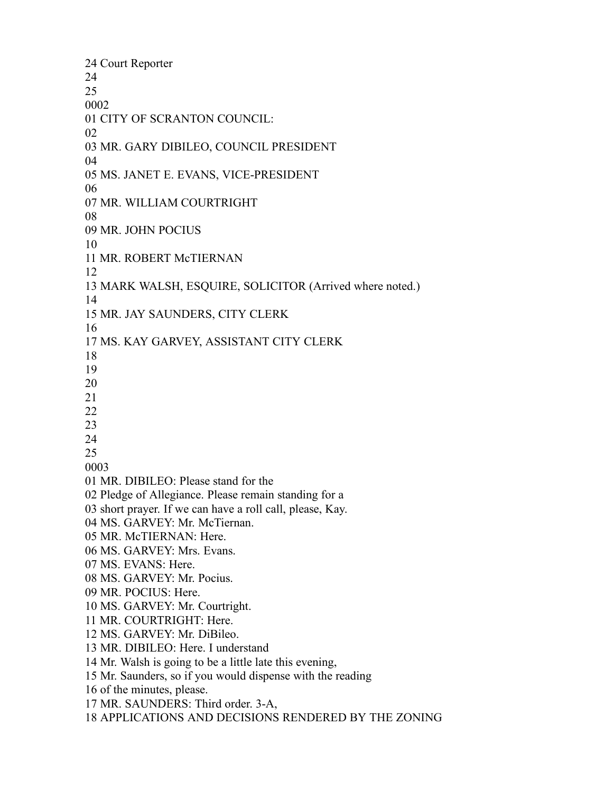Court Reporter CITY OF SCRANTON COUNCIL: MR. GARY DIBILEO, COUNCIL PRESIDENT MS. JANET E. EVANS, VICE-PRESIDENT MR. WILLIAM COURTRIGHT MR. JOHN POCIUS MR. ROBERT McTIERNAN MARK WALSH, ESQUIRE, SOLICITOR (Arrived where noted.) MR. JAY SAUNDERS, CITY CLERK MS. KAY GARVEY, ASSISTANT CITY CLERK MR. DIBILEO: Please stand for the Pledge of Allegiance. Please remain standing for a short prayer. If we can have a roll call, please, Kay. MS. GARVEY: Mr. McTiernan. MR. McTIERNAN: Here. MS. GARVEY: Mrs. Evans. MS. EVANS: Here. MS. GARVEY: Mr. Pocius. MR. POCIUS: Here. MS. GARVEY: Mr. Courtright. MR. COURTRIGHT: Here. MS. GARVEY: Mr. DiBileo. MR. DIBILEO: Here. I understand Mr. Walsh is going to be a little late this evening, Mr. Saunders, so if you would dispense with the reading of the minutes, please. MR. SAUNDERS: Third order. 3-A, APPLICATIONS AND DECISIONS RENDERED BY THE ZONING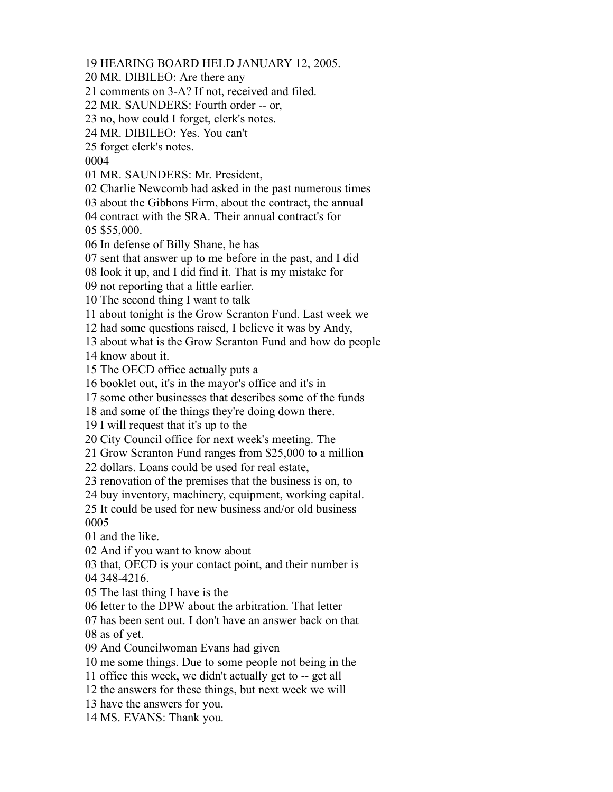HEARING BOARD HELD JANUARY 12, 2005.

MR. DIBILEO: Are there any

comments on 3-A? If not, received and filed.

MR. SAUNDERS: Fourth order -- or,

no, how could I forget, clerk's notes.

MR. DIBILEO: Yes. You can't

forget clerk's notes.

MR. SAUNDERS: Mr. President,

Charlie Newcomb had asked in the past numerous times

about the Gibbons Firm, about the contract, the annual

 contract with the SRA. Their annual contract's for \$55,000.

In defense of Billy Shane, he has

sent that answer up to me before in the past, and I did

look it up, and I did find it. That is my mistake for

not reporting that a little earlier.

The second thing I want to talk

about tonight is the Grow Scranton Fund. Last week we

had some questions raised, I believe it was by Andy,

about what is the Grow Scranton Fund and how do people

know about it.

The OECD office actually puts a

booklet out, it's in the mayor's office and it's in

some other businesses that describes some of the funds

and some of the things they're doing down there.

I will request that it's up to the

City Council office for next week's meeting. The

Grow Scranton Fund ranges from \$25,000 to a million

dollars. Loans could be used for real estate,

renovation of the premises that the business is on, to

buy inventory, machinery, equipment, working capital.

It could be used for new business and/or old business

and the like.

And if you want to know about

 that, OECD is your contact point, and their number is 348-4216.

The last thing I have is the

letter to the DPW about the arbitration. That letter

has been sent out. I don't have an answer back on that

as of yet.

And Councilwoman Evans had given

me some things. Due to some people not being in the

office this week, we didn't actually get to -- get all

the answers for these things, but next week we will

have the answers for you.

MS. EVANS: Thank you.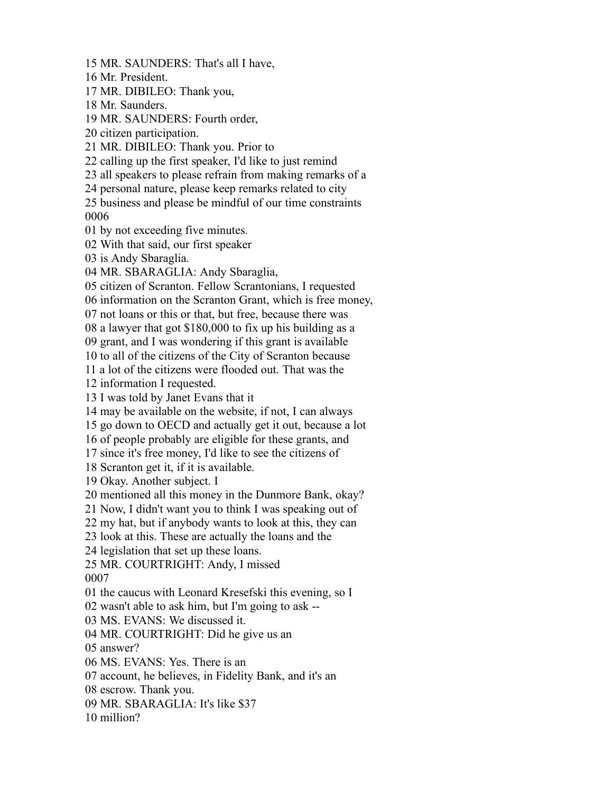Mr. President. MR. DIBILEO: Thank you, Mr. Saunders. MR. SAUNDERS: Fourth order, citizen participation. MR. DIBILEO: Thank you. Prior to calling up the first speaker, I'd like to just remind all speakers to please refrain from making remarks of a personal nature, please keep remarks related to city business and please be mindful of our time constraints by not exceeding five minutes. With that said, our first speaker is Andy Sbaraglia. MR. SBARAGLIA: Andy Sbaraglia, citizen of Scranton. Fellow Scrantonians, I requested information on the Scranton Grant, which is free money, not loans or this or that, but free, because there was a lawyer that got \$180,000 to fix up his building as a grant, and I was wondering if this grant is available to all of the citizens of the City of Scranton because a lot of the citizens were flooded out. That was the information I requested. I was told by Janet Evans that it may be available on the website, if not, I can always go down to OECD and actually get it out, because a lot of people probably are eligible for these grants, and since it's free money, I'd like to see the citizens of Scranton get it, if it is available. Okay. Another subject. I mentioned all this money in the Dunmore Bank, okay? Now, I didn't want you to think I was speaking out of my hat, but if anybody wants to look at this, they can look at this. These are actually the loans and the legislation that set up these loans. MR. COURTRIGHT: Andy, I missed the caucus with Leonard Kresefski this evening, so I wasn't able to ask him, but I'm going to ask -- MS. EVANS: We discussed it. MR. COURTRIGHT: Did he give us an answer? MS. EVANS: Yes. There is an account, he believes, in Fidelity Bank, and it's an escrow. Thank you. MR. SBARAGLIA: It's like \$37 million?

MR. SAUNDERS: That's all I have,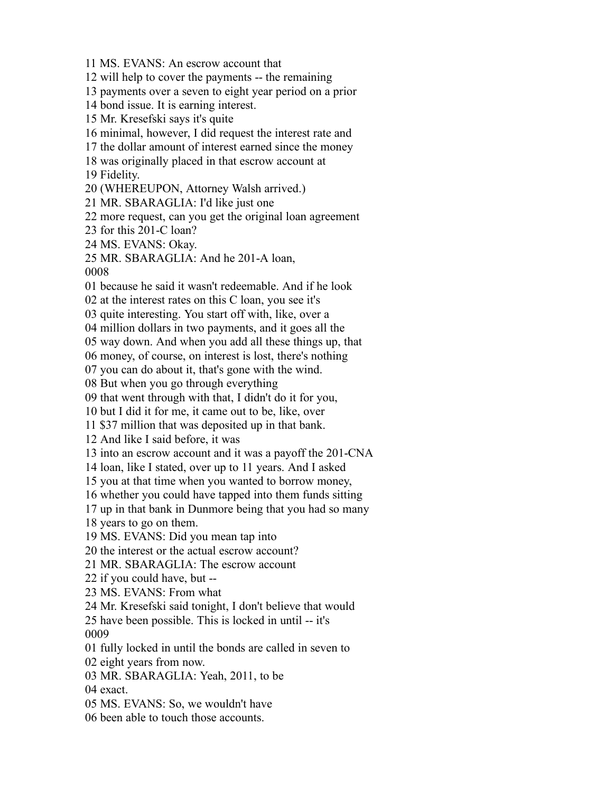MS. EVANS: An escrow account that

will help to cover the payments -- the remaining

payments over a seven to eight year period on a prior

bond issue. It is earning interest.

Mr. Kresefski says it's quite

minimal, however, I did request the interest rate and

the dollar amount of interest earned since the money

was originally placed in that escrow account at

Fidelity.

(WHEREUPON, Attorney Walsh arrived.)

MR. SBARAGLIA: I'd like just one

more request, can you get the original loan agreement

for this 201-C loan?

MS. EVANS: Okay.

MR. SBARAGLIA: And he 201-A loan,

because he said it wasn't redeemable. And if he look

at the interest rates on this C loan, you see it's

quite interesting. You start off with, like, over a

million dollars in two payments, and it goes all the

way down. And when you add all these things up, that

money, of course, on interest is lost, there's nothing

you can do about it, that's gone with the wind.

But when you go through everything

that went through with that, I didn't do it for you,

but I did it for me, it came out to be, like, over

\$37 million that was deposited up in that bank.

And like I said before, it was

into an escrow account and it was a payoff the 201-CNA

loan, like I stated, over up to 11 years. And I asked

you at that time when you wanted to borrow money,

whether you could have tapped into them funds sitting

up in that bank in Dunmore being that you had so many

years to go on them.

MS. EVANS: Did you mean tap into

the interest or the actual escrow account?

MR. SBARAGLIA: The escrow account

if you could have, but --

MS. EVANS: From what

Mr. Kresefski said tonight, I don't believe that would

 have been possible. This is locked in until -- it's 

fully locked in until the bonds are called in seven to

eight years from now.

MR. SBARAGLIA: Yeah, 2011, to be

exact.

MS. EVANS: So, we wouldn't have

been able to touch those accounts.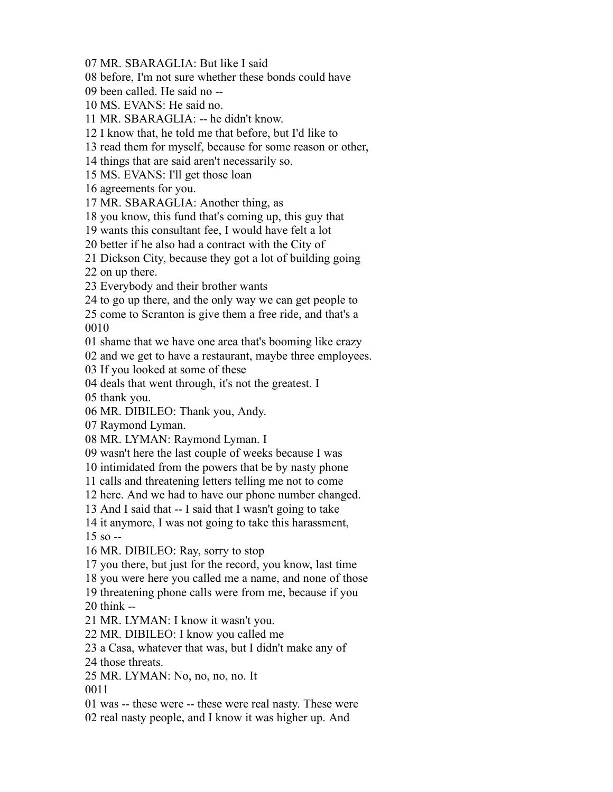MR. SBARAGLIA: But like I said

before, I'm not sure whether these bonds could have

been called. He said no --

MS. EVANS: He said no.

MR. SBARAGLIA: -- he didn't know.

I know that, he told me that before, but I'd like to

read them for myself, because for some reason or other,

things that are said aren't necessarily so.

MS. EVANS: I'll get those loan

agreements for you.

MR. SBARAGLIA: Another thing, as

you know, this fund that's coming up, this guy that

wants this consultant fee, I would have felt a lot

better if he also had a contract with the City of

Dickson City, because they got a lot of building going

on up there.

Everybody and their brother wants

to go up there, and the only way we can get people to

 come to Scranton is give them a free ride, and that's a 

shame that we have one area that's booming like crazy

and we get to have a restaurant, maybe three employees.

If you looked at some of these

deals that went through, it's not the greatest. I

thank you.

MR. DIBILEO: Thank you, Andy.

Raymond Lyman.

MR. LYMAN: Raymond Lyman. I

wasn't here the last couple of weeks because I was

intimidated from the powers that be by nasty phone

calls and threatening letters telling me not to come

here. And we had to have our phone number changed.

And I said that -- I said that I wasn't going to take

it anymore, I was not going to take this harassment,

so --

MR. DIBILEO: Ray, sorry to stop

you there, but just for the record, you know, last time

you were here you called me a name, and none of those

threatening phone calls were from me, because if you

think --

MR. LYMAN: I know it wasn't you.

MR. DIBILEO: I know you called me

a Casa, whatever that was, but I didn't make any of

those threats.

MR. LYMAN: No, no, no, no. It

was -- these were -- these were real nasty. These were

real nasty people, and I know it was higher up. And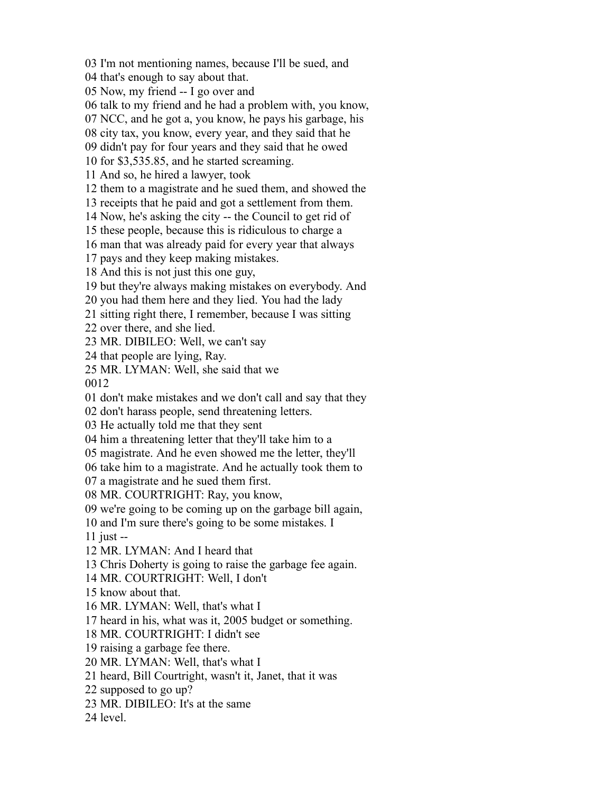I'm not mentioning names, because I'll be sued, and

that's enough to say about that.

Now, my friend -- I go over and

talk to my friend and he had a problem with, you know,

NCC, and he got a, you know, he pays his garbage, his

city tax, you know, every year, and they said that he

didn't pay for four years and they said that he owed

for \$3,535.85, and he started screaming.

And so, he hired a lawyer, took

them to a magistrate and he sued them, and showed the

receipts that he paid and got a settlement from them.

Now, he's asking the city -- the Council to get rid of

these people, because this is ridiculous to charge a

man that was already paid for every year that always

pays and they keep making mistakes.

And this is not just this one guy,

but they're always making mistakes on everybody. And

you had them here and they lied. You had the lady

sitting right there, I remember, because I was sitting

over there, and she lied.

MR. DIBILEO: Well, we can't say

that people are lying, Ray.

MR. LYMAN: Well, she said that we

don't make mistakes and we don't call and say that they

don't harass people, send threatening letters.

He actually told me that they sent

him a threatening letter that they'll take him to a

magistrate. And he even showed me the letter, they'll

take him to a magistrate. And he actually took them to

a magistrate and he sued them first.

MR. COURTRIGHT: Ray, you know,

we're going to be coming up on the garbage bill again,

and I'm sure there's going to be some mistakes. I

just --

MR. LYMAN: And I heard that

Chris Doherty is going to raise the garbage fee again.

MR. COURTRIGHT: Well, I don't

know about that.

MR. LYMAN: Well, that's what I

heard in his, what was it, 2005 budget or something.

MR. COURTRIGHT: I didn't see

raising a garbage fee there.

MR. LYMAN: Well, that's what I

heard, Bill Courtright, wasn't it, Janet, that it was

supposed to go up?

MR. DIBILEO: It's at the same

level.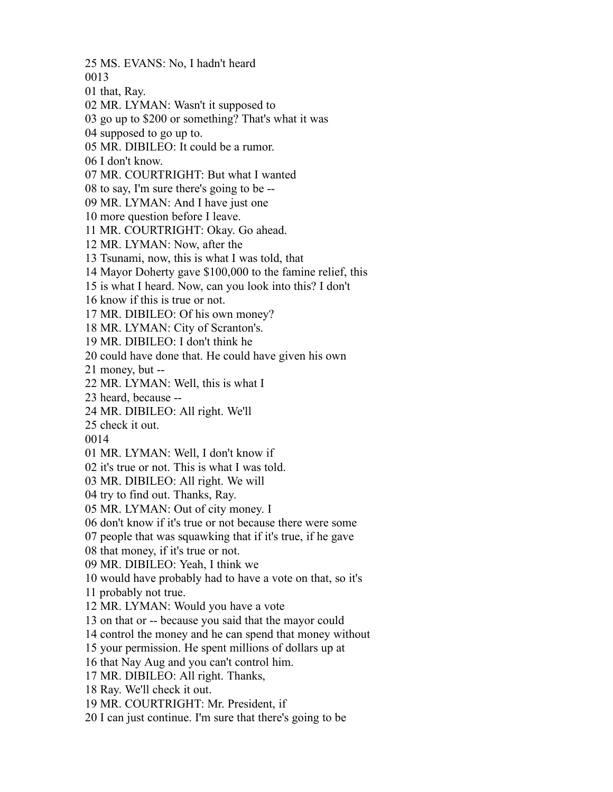MS. EVANS: No, I hadn't heard that, Ray. MR. LYMAN: Wasn't it supposed to go up to \$200 or something? That's what it was supposed to go up to. MR. DIBILEO: It could be a rumor. I don't know. MR. COURTRIGHT: But what I wanted to say, I'm sure there's going to be -- MR. LYMAN: And I have just one more question before I leave. MR. COURTRIGHT: Okay. Go ahead. MR. LYMAN: Now, after the Tsunami, now, this is what I was told, that Mayor Doherty gave \$100,000 to the famine relief, this is what I heard. Now, can you look into this? I don't know if this is true or not. MR. DIBILEO: Of his own money? MR. LYMAN: City of Scranton's. MR. DIBILEO: I don't think he could have done that. He could have given his own money, but -- MR. LYMAN: Well, this is what I heard, because -- MR. DIBILEO: All right. We'll check it out. MR. LYMAN: Well, I don't know if it's true or not. This is what I was told. MR. DIBILEO: All right. We will try to find out. Thanks, Ray. MR. LYMAN: Out of city money. I don't know if it's true or not because there were some people that was squawking that if it's true, if he gave that money, if it's true or not. MR. DIBILEO: Yeah, I think we would have probably had to have a vote on that, so it's probably not true. MR. LYMAN: Would you have a vote on that or -- because you said that the mayor could control the money and he can spend that money without your permission. He spent millions of dollars up at that Nay Aug and you can't control him. MR. DIBILEO: All right. Thanks, Ray. We'll check it out. MR. COURTRIGHT: Mr. President, if I can just continue. I'm sure that there's going to be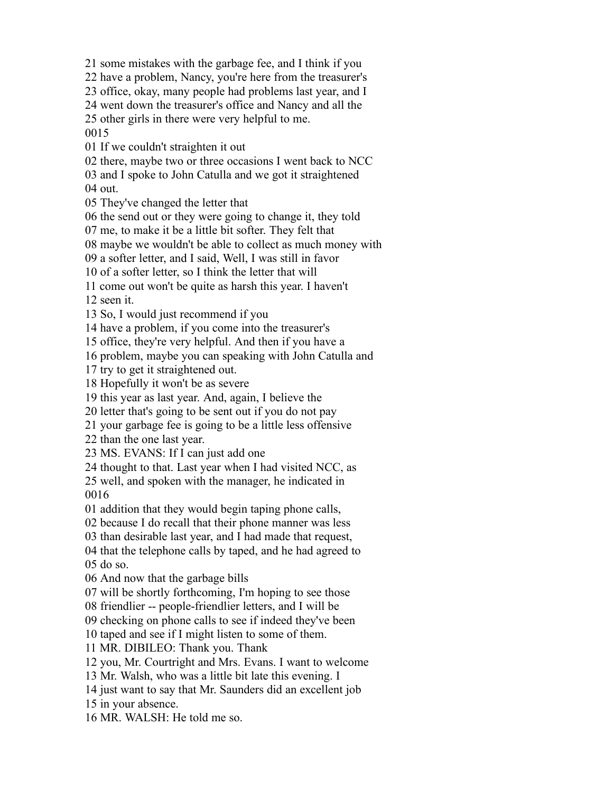some mistakes with the garbage fee, and I think if you

have a problem, Nancy, you're here from the treasurer's

office, okay, many people had problems last year, and I

went down the treasurer's office and Nancy and all the

other girls in there were very helpful to me.

If we couldn't straighten it out

there, maybe two or three occasions I went back to NCC

 and I spoke to John Catulla and we got it straightened out.

They've changed the letter that

the send out or they were going to change it, they told

me, to make it be a little bit softer. They felt that

maybe we wouldn't be able to collect as much money with

a softer letter, and I said, Well, I was still in favor

of a softer letter, so I think the letter that will

come out won't be quite as harsh this year. I haven't

seen it.

So, I would just recommend if you

have a problem, if you come into the treasurer's

office, they're very helpful. And then if you have a

problem, maybe you can speaking with John Catulla and

try to get it straightened out.

Hopefully it won't be as severe

this year as last year. And, again, I believe the

letter that's going to be sent out if you do not pay

your garbage fee is going to be a little less offensive

than the one last year.

MS. EVANS: If I can just add one

thought to that. Last year when I had visited NCC, as

 well, and spoken with the manager, he indicated in 

addition that they would begin taping phone calls,

because I do recall that their phone manner was less

than desirable last year, and I had made that request,

 that the telephone calls by taped, and he had agreed to do so.

And now that the garbage bills

will be shortly forthcoming, I'm hoping to see those

friendlier -- people-friendlier letters, and I will be

checking on phone calls to see if indeed they've been

taped and see if I might listen to some of them.

MR. DIBILEO: Thank you. Thank

you, Mr. Courtright and Mrs. Evans. I want to welcome

Mr. Walsh, who was a little bit late this evening. I

just want to say that Mr. Saunders did an excellent job

in your absence.

MR. WALSH: He told me so.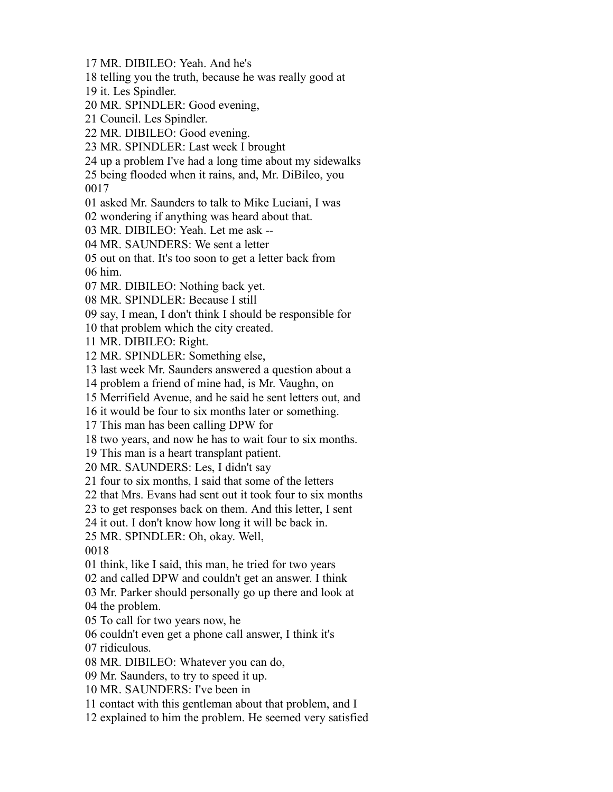- MR. DIBILEO: Yeah. And he's
- telling you the truth, because he was really good at
- it. Les Spindler.
- MR. SPINDLER: Good evening,
- Council. Les Spindler.
- MR. DIBILEO: Good evening.
- MR. SPINDLER: Last week I brought
- up a problem I've had a long time about my sidewalks
- being flooded when it rains, and, Mr. DiBileo, you

- asked Mr. Saunders to talk to Mike Luciani, I was
- wondering if anything was heard about that.
- MR. DIBILEO: Yeah. Let me ask --
- MR. SAUNDERS: We sent a letter
- out on that. It's too soon to get a letter back from him.

- MR. DIBILEO: Nothing back yet.
- MR. SPINDLER: Because I still
- say, I mean, I don't think I should be responsible for
- that problem which the city created.
- MR. DIBILEO: Right.
- MR. SPINDLER: Something else,
- last week Mr. Saunders answered a question about a
- problem a friend of mine had, is Mr. Vaughn, on
- Merrifield Avenue, and he said he sent letters out, and
- it would be four to six months later or something.
- This man has been calling DPW for
- two years, and now he has to wait four to six months.
- This man is a heart transplant patient.
- MR. SAUNDERS: Les, I didn't say
- four to six months, I said that some of the letters
- that Mrs. Evans had sent out it took four to six months
- to get responses back on them. And this letter, I sent
- it out. I don't know how long it will be back in.
- MR. SPINDLER: Oh, okay. Well,

- think, like I said, this man, he tried for two years
- and called DPW and couldn't get an answer. I think
- Mr. Parker should personally go up there and look at
- the problem.
- To call for two years now, he
- couldn't even get a phone call answer, I think it's
- ridiculous.
- MR. DIBILEO: Whatever you can do,
- Mr. Saunders, to try to speed it up.
- MR. SAUNDERS: I've been in
- contact with this gentleman about that problem, and I
- explained to him the problem. He seemed very satisfied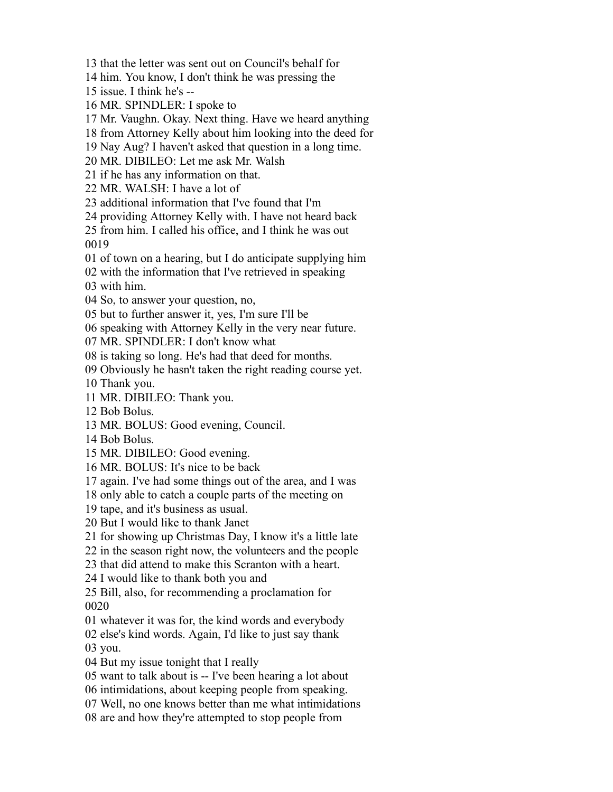that the letter was sent out on Council's behalf for

him. You know, I don't think he was pressing the

issue. I think he's --

MR. SPINDLER: I spoke to

Mr. Vaughn. Okay. Next thing. Have we heard anything

from Attorney Kelly about him looking into the deed for

Nay Aug? I haven't asked that question in a long time.

MR. DIBILEO: Let me ask Mr. Walsh

if he has any information on that.

MR. WALSH: I have a lot of

additional information that I've found that I'm

providing Attorney Kelly with. I have not heard back

 from him. I called his office, and I think he was out 

of town on a hearing, but I do anticipate supplying him

with the information that I've retrieved in speaking

with him.

So, to answer your question, no,

but to further answer it, yes, I'm sure I'll be

speaking with Attorney Kelly in the very near future.

MR. SPINDLER: I don't know what

is taking so long. He's had that deed for months.

Obviously he hasn't taken the right reading course yet.

Thank you.

MR. DIBILEO: Thank you.

Bob Bolus.

MR. BOLUS: Good evening, Council.

Bob Bolus.

MR. DIBILEO: Good evening.

MR. BOLUS: It's nice to be back

again. I've had some things out of the area, and I was

only able to catch a couple parts of the meeting on

tape, and it's business as usual.

But I would like to thank Janet

for showing up Christmas Day, I know it's a little late

in the season right now, the volunteers and the people

that did attend to make this Scranton with a heart.

I would like to thank both you and

 Bill, also, for recommending a proclamation for 

whatever it was for, the kind words and everybody

else's kind words. Again, I'd like to just say thank

you.

But my issue tonight that I really

want to talk about is -- I've been hearing a lot about

intimidations, about keeping people from speaking.

Well, no one knows better than me what intimidations

are and how they're attempted to stop people from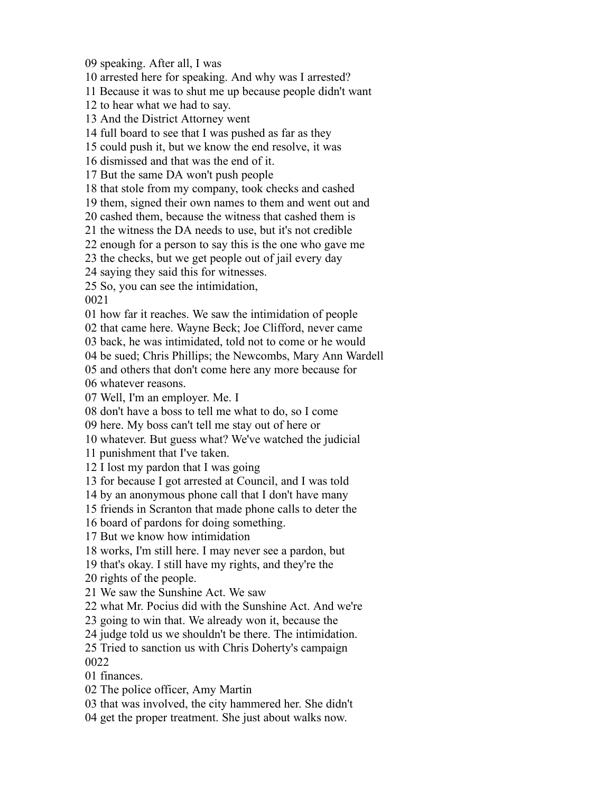speaking. After all, I was

arrested here for speaking. And why was I arrested?

Because it was to shut me up because people didn't want

to hear what we had to say.

And the District Attorney went

full board to see that I was pushed as far as they

could push it, but we know the end resolve, it was

dismissed and that was the end of it.

But the same DA won't push people

that stole from my company, took checks and cashed

them, signed their own names to them and went out and

cashed them, because the witness that cashed them is

the witness the DA needs to use, but it's not credible

enough for a person to say this is the one who gave me

the checks, but we get people out of jail every day

saying they said this for witnesses.

So, you can see the intimidation,

how far it reaches. We saw the intimidation of people

that came here. Wayne Beck; Joe Clifford, never came

back, he was intimidated, told not to come or he would

be sued; Chris Phillips; the Newcombs, Mary Ann Wardell

and others that don't come here any more because for

whatever reasons.

Well, I'm an employer. Me. I

don't have a boss to tell me what to do, so I come

here. My boss can't tell me stay out of here or

whatever. But guess what? We've watched the judicial

punishment that I've taken.

I lost my pardon that I was going

for because I got arrested at Council, and I was told

by an anonymous phone call that I don't have many

friends in Scranton that made phone calls to deter the

board of pardons for doing something.

But we know how intimidation

works, I'm still here. I may never see a pardon, but

that's okay. I still have my rights, and they're the

rights of the people.

We saw the Sunshine Act. We saw

what Mr. Pocius did with the Sunshine Act. And we're

going to win that. We already won it, because the

judge told us we shouldn't be there. The intimidation.

 Tried to sanction us with Chris Doherty's campaign 

finances.

The police officer, Amy Martin

that was involved, the city hammered her. She didn't

get the proper treatment. She just about walks now.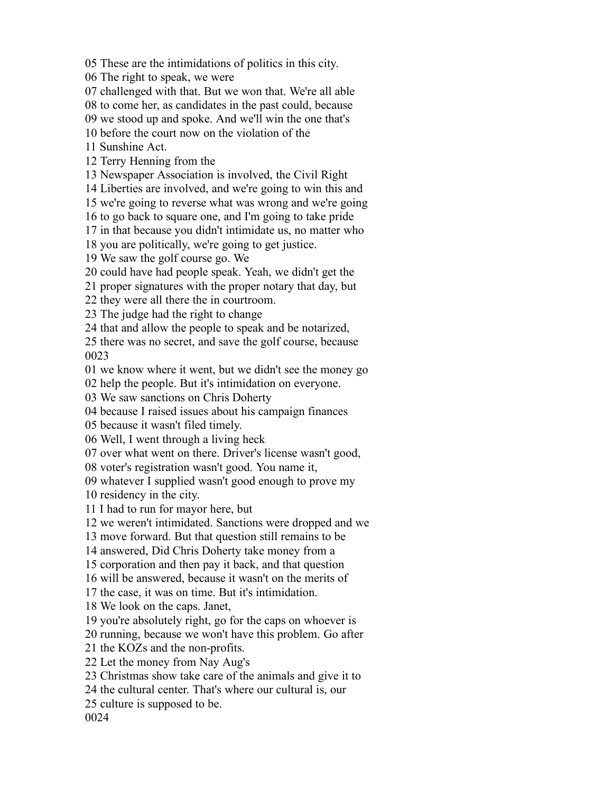These are the intimidations of politics in this city.

The right to speak, we were

challenged with that. But we won that. We're all able

to come her, as candidates in the past could, because

we stood up and spoke. And we'll win the one that's

before the court now on the violation of the

Sunshine Act.

Terry Henning from the

Newspaper Association is involved, the Civil Right

Liberties are involved, and we're going to win this and

we're going to reverse what was wrong and we're going

to go back to square one, and I'm going to take pride

in that because you didn't intimidate us, no matter who

you are politically, we're going to get justice.

We saw the golf course go. We

could have had people speak. Yeah, we didn't get the

proper signatures with the proper notary that day, but

they were all there the in courtroom.

The judge had the right to change

that and allow the people to speak and be notarized,

 there was no secret, and save the golf course, because 

we know where it went, but we didn't see the money go

help the people. But it's intimidation on everyone.

We saw sanctions on Chris Doherty

because I raised issues about his campaign finances

because it wasn't filed timely.

Well, I went through a living heck

over what went on there. Driver's license wasn't good,

voter's registration wasn't good. You name it,

whatever I supplied wasn't good enough to prove my

residency in the city.

I had to run for mayor here, but

we weren't intimidated. Sanctions were dropped and we

move forward. But that question still remains to be

answered, Did Chris Doherty take money from a

corporation and then pay it back, and that question

will be answered, because it wasn't on the merits of

the case, it was on time. But it's intimidation.

We look on the caps. Janet,

you're absolutely right, go for the caps on whoever is

running, because we won't have this problem. Go after

the KOZs and the non-profits.

Let the money from Nay Aug's

Christmas show take care of the animals and give it to

the cultural center. That's where our cultural is, our

culture is supposed to be.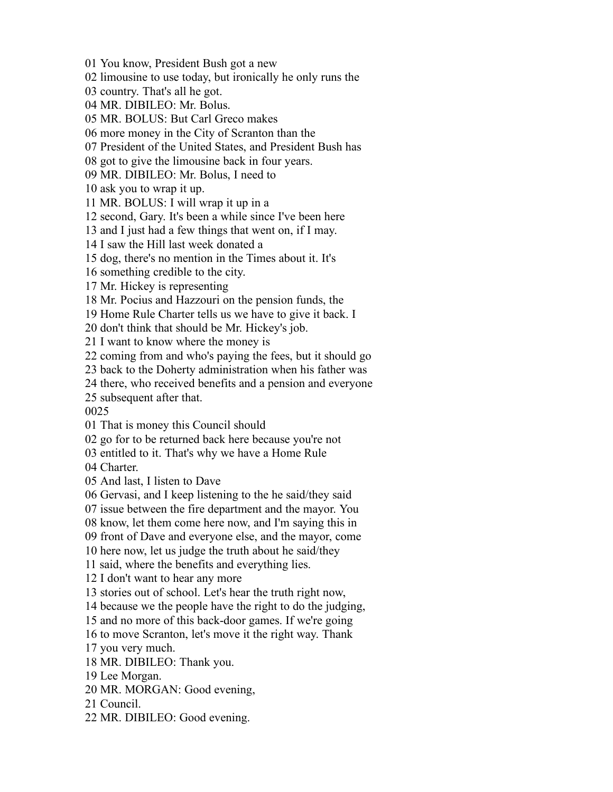You know, President Bush got a new

limousine to use today, but ironically he only runs the

country. That's all he got.

MR. DIBILEO: Mr. Bolus.

MR. BOLUS: But Carl Greco makes

more money in the City of Scranton than the

President of the United States, and President Bush has

got to give the limousine back in four years.

MR. DIBILEO: Mr. Bolus, I need to

ask you to wrap it up.

MR. BOLUS: I will wrap it up in a

second, Gary. It's been a while since I've been here

and I just had a few things that went on, if I may.

I saw the Hill last week donated a

dog, there's no mention in the Times about it. It's

something credible to the city.

Mr. Hickey is representing

Mr. Pocius and Hazzouri on the pension funds, the

Home Rule Charter tells us we have to give it back. I

don't think that should be Mr. Hickey's job.

I want to know where the money is

coming from and who's paying the fees, but it should go

back to the Doherty administration when his father was

there, who received benefits and a pension and everyone

subsequent after that.

That is money this Council should

go for to be returned back here because you're not

entitled to it. That's why we have a Home Rule

Charter.

And last, I listen to Dave

Gervasi, and I keep listening to the he said/they said

issue between the fire department and the mayor. You

know, let them come here now, and I'm saying this in

front of Dave and everyone else, and the mayor, come

here now, let us judge the truth about he said/they

said, where the benefits and everything lies.

I don't want to hear any more

stories out of school. Let's hear the truth right now,

because we the people have the right to do the judging,

and no more of this back-door games. If we're going

to move Scranton, let's move it the right way. Thank

you very much.

MR. DIBILEO: Thank you.

Lee Morgan.

MR. MORGAN: Good evening,

Council.

MR. DIBILEO: Good evening.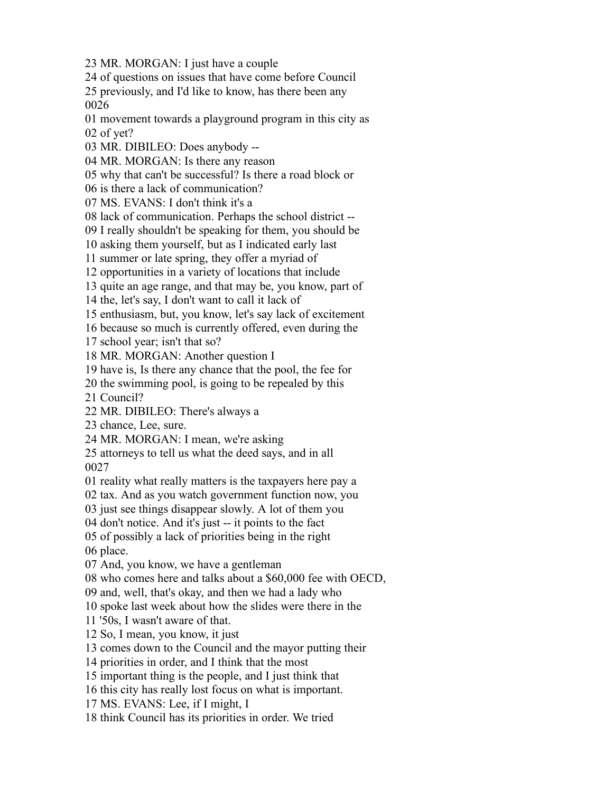MR. MORGAN: I just have a couple

of questions on issues that have come before Council

 previously, and I'd like to know, has there been any 

 movement towards a playground program in this city as of yet?

MR. DIBILEO: Does anybody --

MR. MORGAN: Is there any reason

why that can't be successful? Is there a road block or

is there a lack of communication?

MS. EVANS: I don't think it's a

lack of communication. Perhaps the school district --

I really shouldn't be speaking for them, you should be

asking them yourself, but as I indicated early last

summer or late spring, they offer a myriad of

opportunities in a variety of locations that include

quite an age range, and that may be, you know, part of

the, let's say, I don't want to call it lack of

enthusiasm, but, you know, let's say lack of excitement

because so much is currently offered, even during the

school year; isn't that so?

MR. MORGAN: Another question I

have is, Is there any chance that the pool, the fee for

the swimming pool, is going to be repealed by this

Council?

MR. DIBILEO: There's always a

chance, Lee, sure.

MR. MORGAN: I mean, we're asking

 attorneys to tell us what the deed says, and in all 

reality what really matters is the taxpayers here pay a

tax. And as you watch government function now, you

just see things disappear slowly. A lot of them you

don't notice. And it's just -- it points to the fact

of possibly a lack of priorities being in the right

place.

And, you know, we have a gentleman

who comes here and talks about a \$60,000 fee with OECD,

and, well, that's okay, and then we had a lady who

spoke last week about how the slides were there in the

'50s, I wasn't aware of that.

So, I mean, you know, it just

comes down to the Council and the mayor putting their

priorities in order, and I think that the most

important thing is the people, and I just think that

this city has really lost focus on what is important.

MS. EVANS: Lee, if I might, I

think Council has its priorities in order. We tried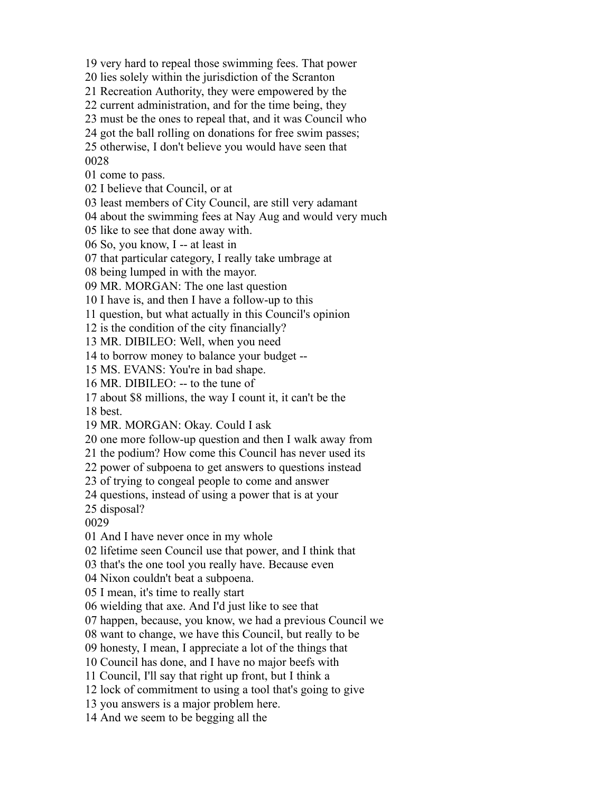very hard to repeal those swimming fees. That power

lies solely within the jurisdiction of the Scranton

Recreation Authority, they were empowered by the

current administration, and for the time being, they

must be the ones to repeal that, and it was Council who

got the ball rolling on donations for free swim passes;

 otherwise, I don't believe you would have seen that 

come to pass.

I believe that Council, or at

least members of City Council, are still very adamant

about the swimming fees at Nay Aug and would very much

like to see that done away with.

So, you know, I -- at least in

that particular category, I really take umbrage at

being lumped in with the mayor.

MR. MORGAN: The one last question

I have is, and then I have a follow-up to this

question, but what actually in this Council's opinion

is the condition of the city financially?

MR. DIBILEO: Well, when you need

to borrow money to balance your budget --

MS. EVANS: You're in bad shape.

MR. DIBILEO: -- to the tune of

about \$8 millions, the way I count it, it can't be the

best.

MR. MORGAN: Okay. Could I ask

one more follow-up question and then I walk away from

the podium? How come this Council has never used its

power of subpoena to get answers to questions instead

of trying to congeal people to come and answer

questions, instead of using a power that is at your

disposal?

And I have never once in my whole

lifetime seen Council use that power, and I think that

that's the one tool you really have. Because even

Nixon couldn't beat a subpoena.

I mean, it's time to really start

wielding that axe. And I'd just like to see that

happen, because, you know, we had a previous Council we

want to change, we have this Council, but really to be

honesty, I mean, I appreciate a lot of the things that

Council has done, and I have no major beefs with

Council, I'll say that right up front, but I think a

lock of commitment to using a tool that's going to give

you answers is a major problem here.

And we seem to be begging all the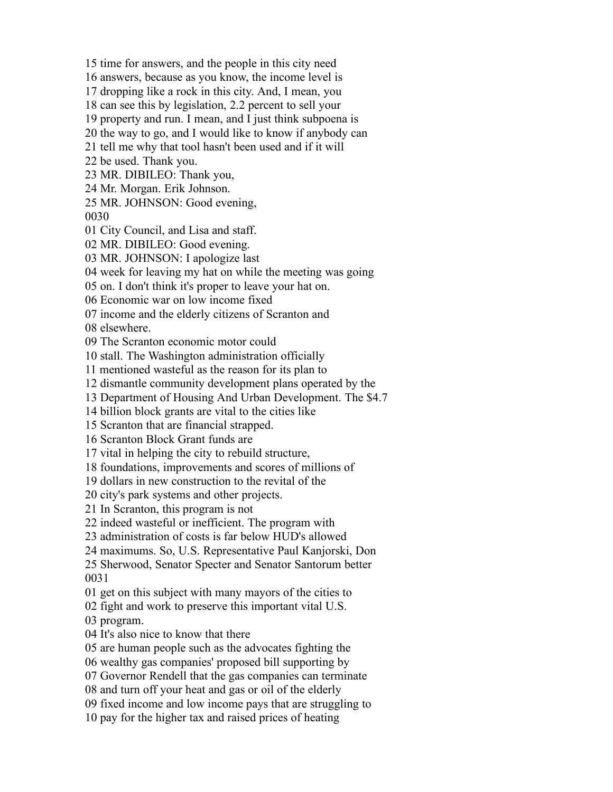time for answers, and the people in this city need

answers, because as you know, the income level is

dropping like a rock in this city. And, I mean, you

can see this by legislation, 2.2 percent to sell your

property and run. I mean, and I just think subpoena is

the way to go, and I would like to know if anybody can

tell me why that tool hasn't been used and if it will

be used. Thank you.

MR. DIBILEO: Thank you,

Mr. Morgan. Erik Johnson.

MR. JOHNSON: Good evening,

City Council, and Lisa and staff.

MR. DIBILEO: Good evening.

MR. JOHNSON: I apologize last

week for leaving my hat on while the meeting was going

on. I don't think it's proper to leave your hat on.

Economic war on low income fixed

income and the elderly citizens of Scranton and

elsewhere.

The Scranton economic motor could

stall. The Washington administration officially

mentioned wasteful as the reason for its plan to

dismantle community development plans operated by the

Department of Housing And Urban Development. The \$4.7

billion block grants are vital to the cities like

Scranton that are financial strapped.

Scranton Block Grant funds are

vital in helping the city to rebuild structure,

foundations, improvements and scores of millions of

dollars in new construction to the revital of the

city's park systems and other projects.

In Scranton, this program is not

indeed wasteful or inefficient. The program with

administration of costs is far below HUD's allowed

maximums. So, U.S. Representative Paul Kanjorski, Don

 Sherwood, Senator Specter and Senator Santorum better 

get on this subject with many mayors of the cities to

fight and work to preserve this important vital U.S.

program.

It's also nice to know that there

are human people such as the advocates fighting the

wealthy gas companies' proposed bill supporting by

Governor Rendell that the gas companies can terminate

and turn off your heat and gas or oil of the elderly

fixed income and low income pays that are struggling to

pay for the higher tax and raised prices of heating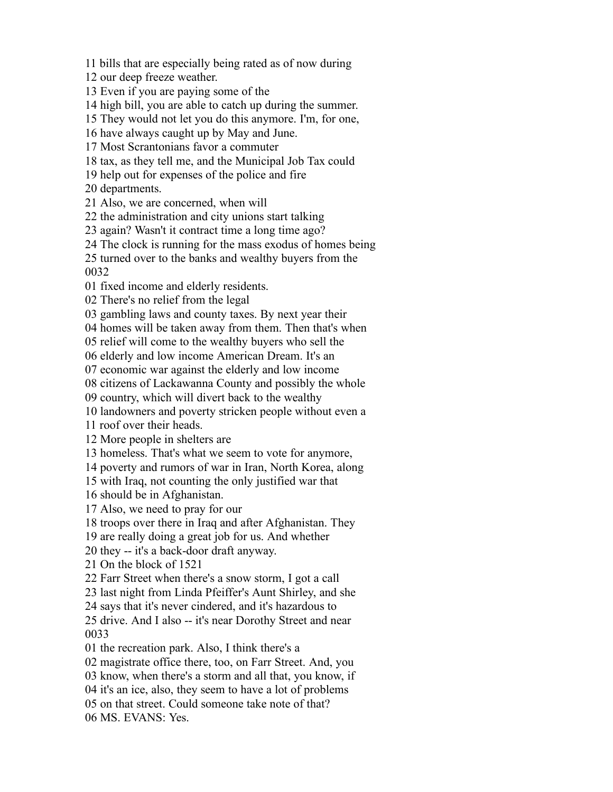bills that are especially being rated as of now during

our deep freeze weather.

Even if you are paying some of the

high bill, you are able to catch up during the summer.

They would not let you do this anymore. I'm, for one,

have always caught up by May and June.

Most Scrantonians favor a commuter

tax, as they tell me, and the Municipal Job Tax could

help out for expenses of the police and fire

departments.

Also, we are concerned, when will

the administration and city unions start talking

again? Wasn't it contract time a long time ago?

The clock is running for the mass exodus of homes being

 turned over to the banks and wealthy buyers from the 

fixed income and elderly residents.

There's no relief from the legal

gambling laws and county taxes. By next year their

homes will be taken away from them. Then that's when

relief will come to the wealthy buyers who sell the

elderly and low income American Dream. It's an

economic war against the elderly and low income

citizens of Lackawanna County and possibly the whole

country, which will divert back to the wealthy

landowners and poverty stricken people without even a

roof over their heads.

More people in shelters are

homeless. That's what we seem to vote for anymore,

poverty and rumors of war in Iran, North Korea, along

with Iraq, not counting the only justified war that

should be in Afghanistan.

Also, we need to pray for our

troops over there in Iraq and after Afghanistan. They

are really doing a great job for us. And whether

they -- it's a back-door draft anyway.

On the block of 1521

Farr Street when there's a snow storm, I got a call

last night from Linda Pfeiffer's Aunt Shirley, and she

says that it's never cindered, and it's hazardous to

 drive. And I also -- it's near Dorothy Street and near 

the recreation park. Also, I think there's a

magistrate office there, too, on Farr Street. And, you

know, when there's a storm and all that, you know, if

it's an ice, also, they seem to have a lot of problems

on that street. Could someone take note of that?

MS. EVANS: Yes.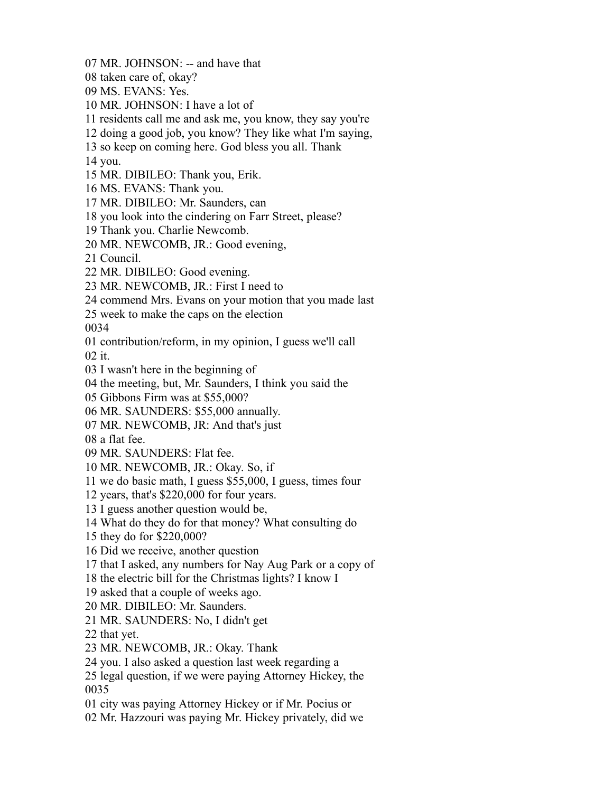- MR. JOHNSON: -- and have that
- taken care of, okay?
- MS. EVANS: Yes.
- MR. JOHNSON: I have a lot of
- residents call me and ask me, you know, they say you're
- doing a good job, you know? They like what I'm saying,
- so keep on coming here. God bless you all. Thank
- you.
- MR. DIBILEO: Thank you, Erik.
- MS. EVANS: Thank you.
- MR. DIBILEO: Mr. Saunders, can
- you look into the cindering on Farr Street, please?
- Thank you. Charlie Newcomb.
- MR. NEWCOMB, JR.: Good evening,
- Council.
- MR. DIBILEO: Good evening.
- MR. NEWCOMB, JR.: First I need to
- commend Mrs. Evans on your motion that you made last
- week to make the caps on the election

contribution/reform, in my opinion, I guess we'll call

it.

- I wasn't here in the beginning of
- the meeting, but, Mr. Saunders, I think you said the
- Gibbons Firm was at \$55,000?
- MR. SAUNDERS: \$55,000 annually.
- MR. NEWCOMB, JR: And that's just
- a flat fee.
- MR. SAUNDERS: Flat fee.
- MR. NEWCOMB, JR.: Okay. So, if
- we do basic math, I guess \$55,000, I guess, times four
- years, that's \$220,000 for four years.
- I guess another question would be,
- What do they do for that money? What consulting do
- they do for \$220,000?
- Did we receive, another question
- that I asked, any numbers for Nay Aug Park or a copy of
- the electric bill for the Christmas lights? I know I
- asked that a couple of weeks ago.
- MR. DIBILEO: Mr. Saunders.
- MR. SAUNDERS: No, I didn't get
- that yet.
- MR. NEWCOMB, JR.: Okay. Thank
- you. I also asked a question last week regarding a
- legal question, if we were paying Attorney Hickey, the
- city was paying Attorney Hickey or if Mr. Pocius or
- Mr. Hazzouri was paying Mr. Hickey privately, did we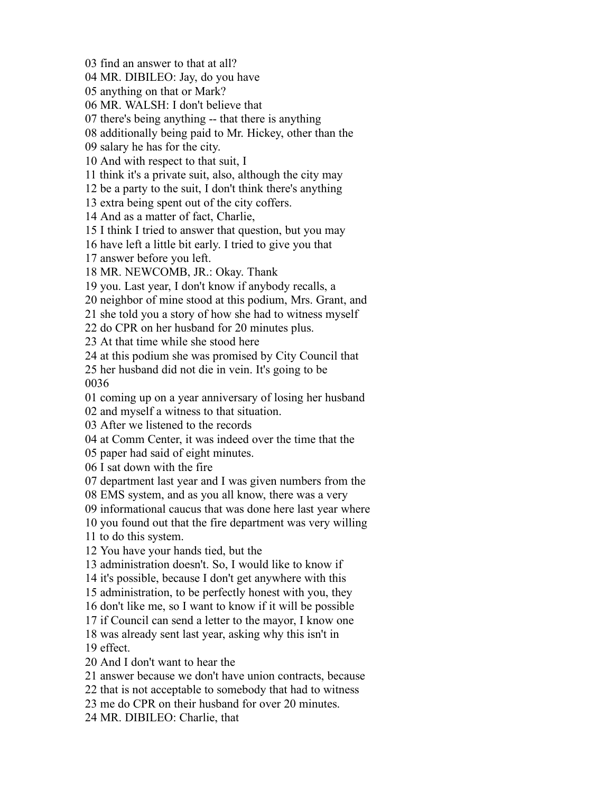find an answer to that at all? MR. DIBILEO: Jay, do you have anything on that or Mark? MR. WALSH: I don't believe that there's being anything -- that there is anything additionally being paid to Mr. Hickey, other than the salary he has for the city. And with respect to that suit, I think it's a private suit, also, although the city may be a party to the suit, I don't think there's anything extra being spent out of the city coffers. And as a matter of fact, Charlie, I think I tried to answer that question, but you may have left a little bit early. I tried to give you that answer before you left. MR. NEWCOMB, JR.: Okay. Thank you. Last year, I don't know if anybody recalls, a neighbor of mine stood at this podium, Mrs. Grant, and she told you a story of how she had to witness myself do CPR on her husband for 20 minutes plus. At that time while she stood here at this podium she was promised by City Council that her husband did not die in vein. It's going to be coming up on a year anniversary of losing her husband and myself a witness to that situation. After we listened to the records at Comm Center, it was indeed over the time that the paper had said of eight minutes. I sat down with the fire department last year and I was given numbers from the EMS system, and as you all know, there was a very informational caucus that was done here last year where you found out that the fire department was very willing to do this system. You have your hands tied, but the administration doesn't. So, I would like to know if it's possible, because I don't get anywhere with this administration, to be perfectly honest with you, they don't like me, so I want to know if it will be possible if Council can send a letter to the mayor, I know one was already sent last year, asking why this isn't in effect. And I don't want to hear the answer because we don't have union contracts, because that is not acceptable to somebody that had to witness me do CPR on their husband for over 20 minutes. MR. DIBILEO: Charlie, that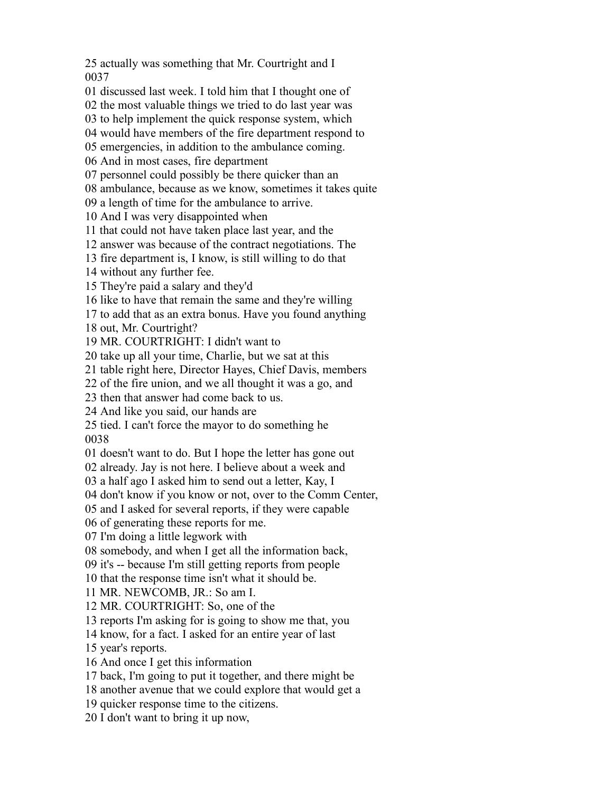actually was something that Mr. Courtright and I 

discussed last week. I told him that I thought one of

the most valuable things we tried to do last year was

to help implement the quick response system, which

would have members of the fire department respond to

emergencies, in addition to the ambulance coming.

And in most cases, fire department

personnel could possibly be there quicker than an

ambulance, because as we know, sometimes it takes quite

a length of time for the ambulance to arrive.

And I was very disappointed when

that could not have taken place last year, and the

answer was because of the contract negotiations. The

fire department is, I know, is still willing to do that

without any further fee.

They're paid a salary and they'd

like to have that remain the same and they're willing

to add that as an extra bonus. Have you found anything

out, Mr. Courtright?

MR. COURTRIGHT: I didn't want to

take up all your time, Charlie, but we sat at this

table right here, Director Hayes, Chief Davis, members

of the fire union, and we all thought it was a go, and

then that answer had come back to us.

And like you said, our hands are

tied. I can't force the mayor to do something he

doesn't want to do. But I hope the letter has gone out

already. Jay is not here. I believe about a week and

a half ago I asked him to send out a letter, Kay, I

don't know if you know or not, over to the Comm Center,

and I asked for several reports, if they were capable

of generating these reports for me.

I'm doing a little legwork with

somebody, and when I get all the information back,

it's -- because I'm still getting reports from people

that the response time isn't what it should be.

MR. NEWCOMB, JR.: So am I.

MR. COURTRIGHT: So, one of the

reports I'm asking for is going to show me that, you

know, for a fact. I asked for an entire year of last

year's reports.

And once I get this information

back, I'm going to put it together, and there might be

another avenue that we could explore that would get a

quicker response time to the citizens.

I don't want to bring it up now,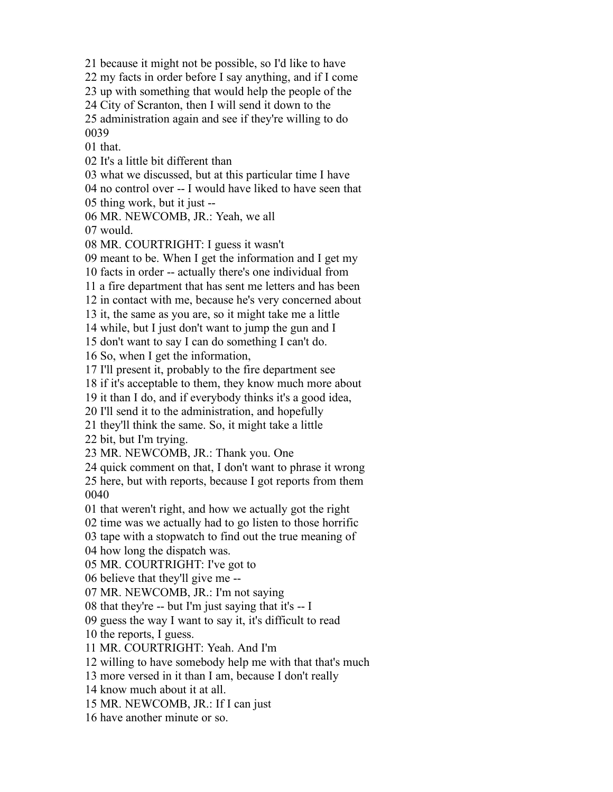because it might not be possible, so I'd like to have

my facts in order before I say anything, and if I come

up with something that would help the people of the

City of Scranton, then I will send it down to the

 administration again and see if they're willing to do 

that.

It's a little bit different than

what we discussed, but at this particular time I have

no control over -- I would have liked to have seen that

thing work, but it just --

MR. NEWCOMB, JR.: Yeah, we all

would.

MR. COURTRIGHT: I guess it wasn't

meant to be. When I get the information and I get my

facts in order -- actually there's one individual from

a fire department that has sent me letters and has been

in contact with me, because he's very concerned about

it, the same as you are, so it might take me a little

while, but I just don't want to jump the gun and I

don't want to say I can do something I can't do.

So, when I get the information,

I'll present it, probably to the fire department see

if it's acceptable to them, they know much more about

it than I do, and if everybody thinks it's a good idea,

I'll send it to the administration, and hopefully

they'll think the same. So, it might take a little

bit, but I'm trying.

MR. NEWCOMB, JR.: Thank you. One

quick comment on that, I don't want to phrase it wrong

 here, but with reports, because I got reports from them 

that weren't right, and how we actually got the right

time was we actually had to go listen to those horrific

tape with a stopwatch to find out the true meaning of

how long the dispatch was.

MR. COURTRIGHT: I've got to

believe that they'll give me --

MR. NEWCOMB, JR.: I'm not saying

08 that they're -- but I'm just saying that it's  $- I$ 

guess the way I want to say it, it's difficult to read

the reports, I guess.

MR. COURTRIGHT: Yeah. And I'm

willing to have somebody help me with that that's much

more versed in it than I am, because I don't really

know much about it at all.

MR. NEWCOMB, JR.: If I can just

have another minute or so.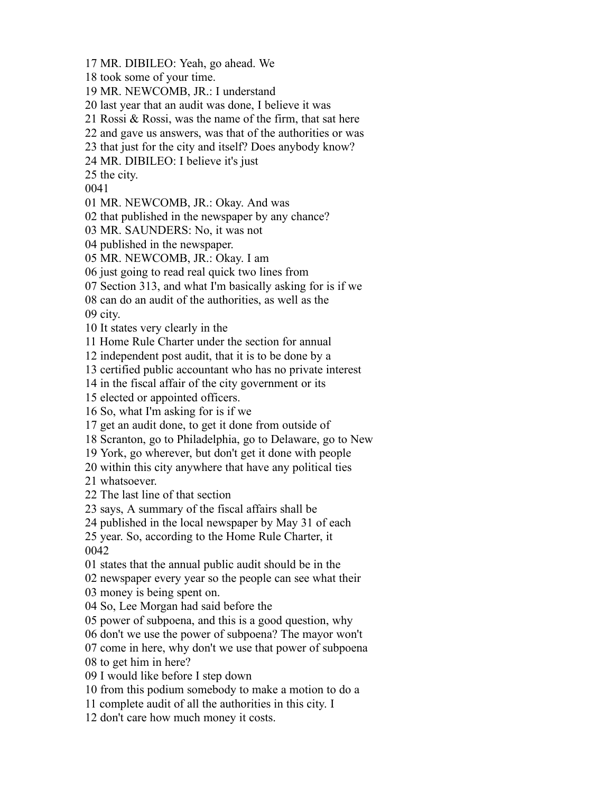MR. DIBILEO: Yeah, go ahead. We

took some of your time.

MR. NEWCOMB, JR.: I understand

last year that an audit was done, I believe it was

Rossi & Rossi, was the name of the firm, that sat here

and gave us answers, was that of the authorities or was

that just for the city and itself? Does anybody know?

MR. DIBILEO: I believe it's just

the city.

MR. NEWCOMB, JR.: Okay. And was

that published in the newspaper by any chance?

MR. SAUNDERS: No, it was not

published in the newspaper.

MR. NEWCOMB, JR.: Okay. I am

just going to read real quick two lines from

Section 313, and what I'm basically asking for is if we

can do an audit of the authorities, as well as the

city.

It states very clearly in the

Home Rule Charter under the section for annual

independent post audit, that it is to be done by a

certified public accountant who has no private interest

in the fiscal affair of the city government or its

elected or appointed officers.

So, what I'm asking for is if we

get an audit done, to get it done from outside of

Scranton, go to Philadelphia, go to Delaware, go to New

York, go wherever, but don't get it done with people

within this city anywhere that have any political ties

whatsoever.

The last line of that section

says, A summary of the fiscal affairs shall be

published in the local newspaper by May 31 of each

 year. So, according to the Home Rule Charter, it 

states that the annual public audit should be in the

newspaper every year so the people can see what their

money is being spent on.

So, Lee Morgan had said before the

power of subpoena, and this is a good question, why

don't we use the power of subpoena? The mayor won't

come in here, why don't we use that power of subpoena

to get him in here?

I would like before I step down

from this podium somebody to make a motion to do a

complete audit of all the authorities in this city. I

don't care how much money it costs.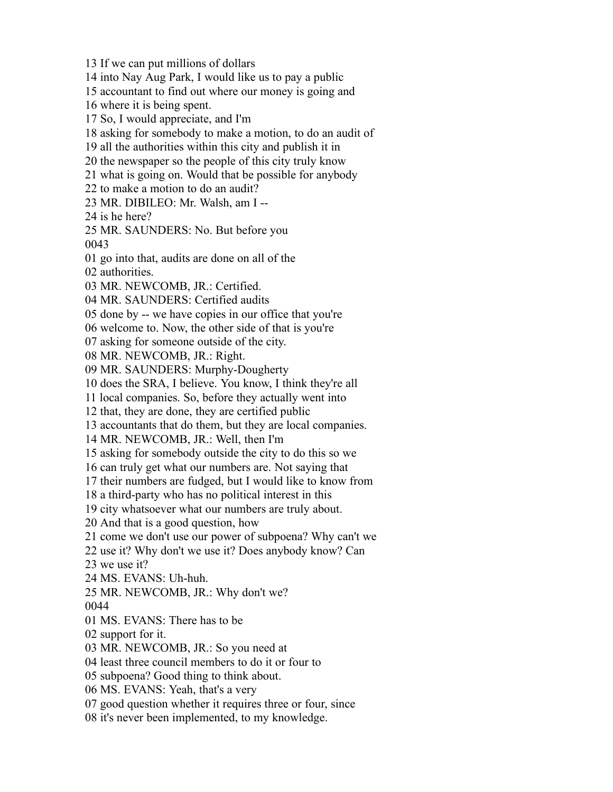If we can put millions of dollars into Nay Aug Park, I would like us to pay a public accountant to find out where our money is going and where it is being spent. So, I would appreciate, and I'm asking for somebody to make a motion, to do an audit of all the authorities within this city and publish it in the newspaper so the people of this city truly know what is going on. Would that be possible for anybody to make a motion to do an audit? MR. DIBILEO: Mr. Walsh, am I -- is he here? MR. SAUNDERS: No. But before you go into that, audits are done on all of the authorities. MR. NEWCOMB, JR.: Certified. MR. SAUNDERS: Certified audits done by -- we have copies in our office that you're welcome to. Now, the other side of that is you're asking for someone outside of the city. MR. NEWCOMB, JR.: Right. MR. SAUNDERS: Murphy-Dougherty does the SRA, I believe. You know, I think they're all local companies. So, before they actually went into that, they are done, they are certified public accountants that do them, but they are local companies. MR. NEWCOMB, JR.: Well, then I'm asking for somebody outside the city to do this so we can truly get what our numbers are. Not saying that their numbers are fudged, but I would like to know from a third-party who has no political interest in this city whatsoever what our numbers are truly about. And that is a good question, how come we don't use our power of subpoena? Why can't we use it? Why don't we use it? Does anybody know? Can we use it? MS. EVANS: Uh-huh. MR. NEWCOMB, JR.: Why don't we? MS. EVANS: There has to be support for it. MR. NEWCOMB, JR.: So you need at least three council members to do it or four to subpoena? Good thing to think about. MS. EVANS: Yeah, that's a very good question whether it requires three or four, since it's never been implemented, to my knowledge.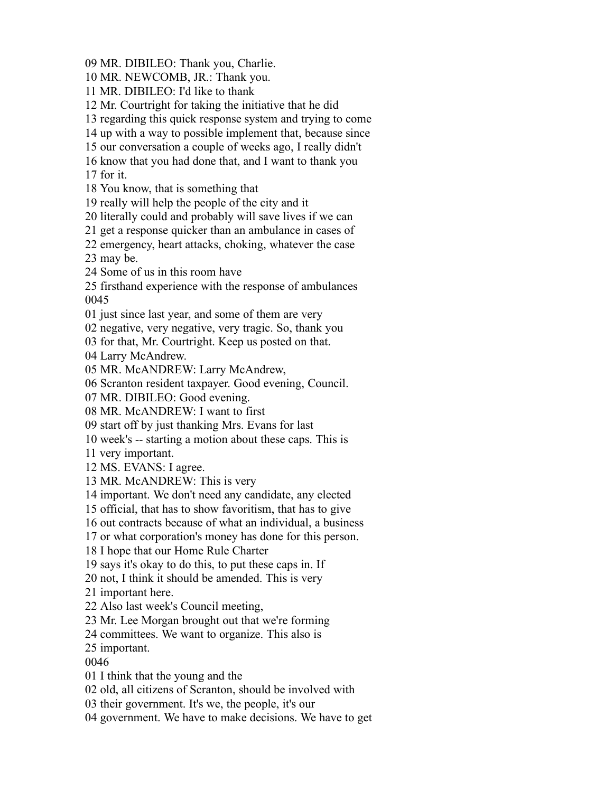MR. DIBILEO: Thank you, Charlie.

MR. NEWCOMB, JR.: Thank you.

MR. DIBILEO: I'd like to thank

Mr. Courtright for taking the initiative that he did

regarding this quick response system and trying to come

up with a way to possible implement that, because since

our conversation a couple of weeks ago, I really didn't

know that you had done that, and I want to thank you

for it.

You know, that is something that

really will help the people of the city and it

literally could and probably will save lives if we can

get a response quicker than an ambulance in cases of

 emergency, heart attacks, choking, whatever the case may be.

Some of us in this room have

firsthand experience with the response of ambulances

just since last year, and some of them are very

negative, very negative, very tragic. So, thank you

for that, Mr. Courtright. Keep us posted on that.

Larry McAndrew.

MR. McANDREW: Larry McAndrew,

Scranton resident taxpayer. Good evening, Council.

MR. DIBILEO: Good evening.

MR. McANDREW: I want to first

start off by just thanking Mrs. Evans for last

week's -- starting a motion about these caps. This is

very important.

MS. EVANS: I agree.

MR. McANDREW: This is very

important. We don't need any candidate, any elected

official, that has to show favoritism, that has to give

out contracts because of what an individual, a business

or what corporation's money has done for this person.

I hope that our Home Rule Charter

says it's okay to do this, to put these caps in. If

not, I think it should be amended. This is very

important here.

Also last week's Council meeting,

Mr. Lee Morgan brought out that we're forming

committees. We want to organize. This also is

important.

I think that the young and the

old, all citizens of Scranton, should be involved with

their government. It's we, the people, it's our

government. We have to make decisions. We have to get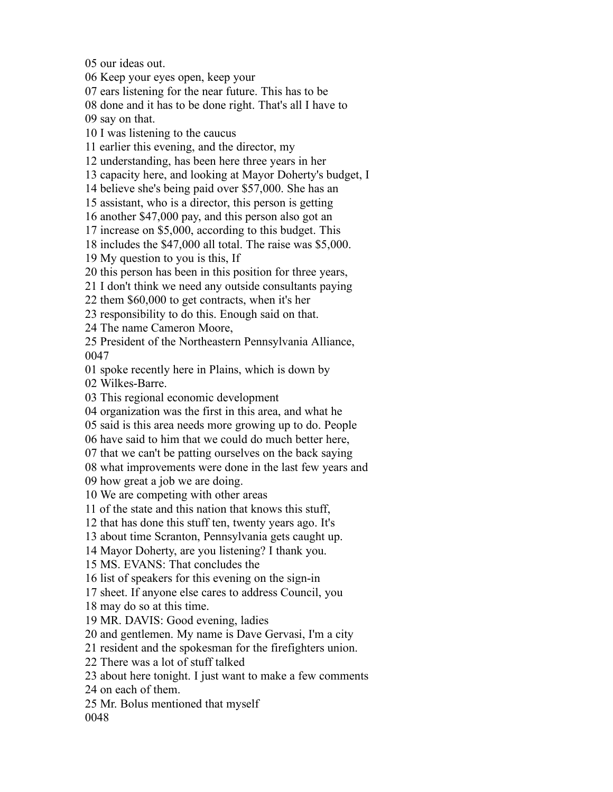our ideas out.

Keep your eyes open, keep your

ears listening for the near future. This has to be

done and it has to be done right. That's all I have to

say on that.

I was listening to the caucus

earlier this evening, and the director, my

understanding, has been here three years in her

capacity here, and looking at Mayor Doherty's budget, I

believe she's being paid over \$57,000. She has an

assistant, who is a director, this person is getting

another \$47,000 pay, and this person also got an

increase on \$5,000, according to this budget. This

includes the \$47,000 all total. The raise was \$5,000.

My question to you is this, If

this person has been in this position for three years,

I don't think we need any outside consultants paying

them \$60,000 to get contracts, when it's her

responsibility to do this. Enough said on that.

The name Cameron Moore,

 President of the Northeastern Pennsylvania Alliance, 

spoke recently here in Plains, which is down by

Wilkes-Barre.

This regional economic development

organization was the first in this area, and what he

said is this area needs more growing up to do. People

have said to him that we could do much better here,

that we can't be patting ourselves on the back saying

what improvements were done in the last few years and

how great a job we are doing.

We are competing with other areas

of the state and this nation that knows this stuff,

that has done this stuff ten, twenty years ago. It's

about time Scranton, Pennsylvania gets caught up.

Mayor Doherty, are you listening? I thank you.

MS. EVANS: That concludes the

list of speakers for this evening on the sign-in

sheet. If anyone else cares to address Council, you

may do so at this time.

MR. DAVIS: Good evening, ladies

and gentlemen. My name is Dave Gervasi, I'm a city

resident and the spokesman for the firefighters union.

There was a lot of stuff talked

about here tonight. I just want to make a few comments

on each of them.

Mr. Bolus mentioned that myself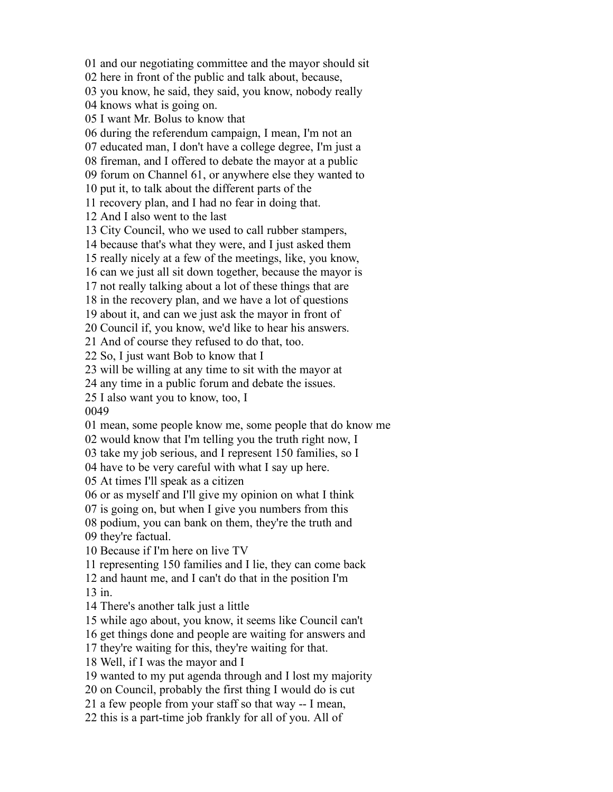and our negotiating committee and the mayor should sit here in front of the public and talk about, because, you know, he said, they said, you know, nobody really knows what is going on. I want Mr. Bolus to know that during the referendum campaign, I mean, I'm not an educated man, I don't have a college degree, I'm just a fireman, and I offered to debate the mayor at a public forum on Channel 61, or anywhere else they wanted to put it, to talk about the different parts of the recovery plan, and I had no fear in doing that. And I also went to the last City Council, who we used to call rubber stampers, because that's what they were, and I just asked them really nicely at a few of the meetings, like, you know, can we just all sit down together, because the mayor is not really talking about a lot of these things that are in the recovery plan, and we have a lot of questions about it, and can we just ask the mayor in front of Council if, you know, we'd like to hear his answers. And of course they refused to do that, too. So, I just want Bob to know that I will be willing at any time to sit with the mayor at any time in a public forum and debate the issues. I also want you to know, too, I mean, some people know me, some people that do know me would know that I'm telling you the truth right now, I take my job serious, and I represent 150 families, so I have to be very careful with what I say up here. At times I'll speak as a citizen or as myself and I'll give my opinion on what I think is going on, but when I give you numbers from this podium, you can bank on them, they're the truth and they're factual. Because if I'm here on live TV representing 150 families and I lie, they can come back and haunt me, and I can't do that in the position I'm in. There's another talk just a little while ago about, you know, it seems like Council can't get things done and people are waiting for answers and they're waiting for this, they're waiting for that. Well, if I was the mayor and I wanted to my put agenda through and I lost my majority on Council, probably the first thing I would do is cut a few people from your staff so that way -- I mean, this is a part-time job frankly for all of you. All of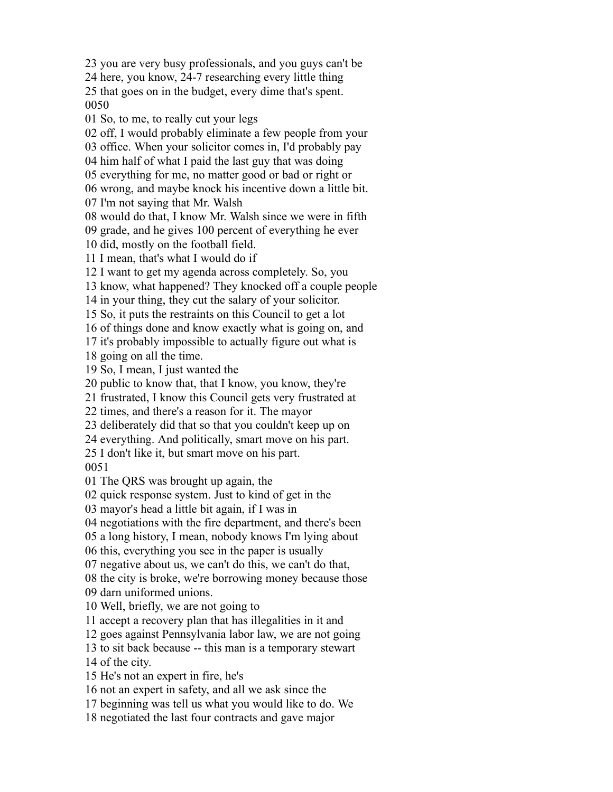you are very busy professionals, and you guys can't be

here, you know, 24-7 researching every little thing

 that goes on in the budget, every dime that's spent. 

So, to me, to really cut your legs

off, I would probably eliminate a few people from your

office. When your solicitor comes in, I'd probably pay

him half of what I paid the last guy that was doing

everything for me, no matter good or bad or right or

wrong, and maybe knock his incentive down a little bit.

I'm not saying that Mr. Walsh

would do that, I know Mr. Walsh since we were in fifth

grade, and he gives 100 percent of everything he ever

did, mostly on the football field.

I mean, that's what I would do if

I want to get my agenda across completely. So, you

know, what happened? They knocked off a couple people

in your thing, they cut the salary of your solicitor.

So, it puts the restraints on this Council to get a lot

of things done and know exactly what is going on, and

it's probably impossible to actually figure out what is

going on all the time.

So, I mean, I just wanted the

public to know that, that I know, you know, they're

frustrated, I know this Council gets very frustrated at

times, and there's a reason for it. The mayor

deliberately did that so that you couldn't keep up on

everything. And politically, smart move on his part.

 I don't like it, but smart move on his part. 

The QRS was brought up again, the

quick response system. Just to kind of get in the

mayor's head a little bit again, if I was in

negotiations with the fire department, and there's been

a long history, I mean, nobody knows I'm lying about

this, everything you see in the paper is usually

negative about us, we can't do this, we can't do that,

 the city is broke, we're borrowing money because those darn uniformed unions.

Well, briefly, we are not going to

accept a recovery plan that has illegalities in it and

goes against Pennsylvania labor law, we are not going

to sit back because -- this man is a temporary stewart

of the city.

He's not an expert in fire, he's

not an expert in safety, and all we ask since the

beginning was tell us what you would like to do. We

negotiated the last four contracts and gave major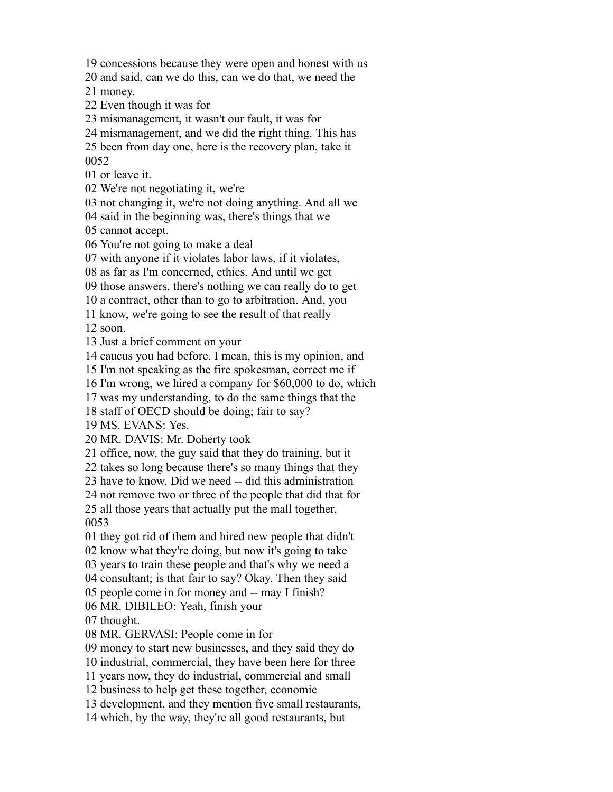concessions because they were open and honest with us

and said, can we do this, can we do that, we need the

money.

Even though it was for

mismanagement, it wasn't our fault, it was for

mismanagement, and we did the right thing. This has

been from day one, here is the recovery plan, take it

or leave it.

We're not negotiating it, we're

not changing it, we're not doing anything. And all we

said in the beginning was, there's things that we

cannot accept.

You're not going to make a deal

with anyone if it violates labor laws, if it violates,

as far as I'm concerned, ethics. And until we get

those answers, there's nothing we can really do to get

a contract, other than to go to arbitration. And, you

know, we're going to see the result of that really

soon.

Just a brief comment on your

caucus you had before. I mean, this is my opinion, and

I'm not speaking as the fire spokesman, correct me if

I'm wrong, we hired a company for \$60,000 to do, which

was my understanding, to do the same things that the

staff of OECD should be doing; fair to say?

MS. EVANS: Yes.

MR. DAVIS: Mr. Doherty took

office, now, the guy said that they do training, but it

takes so long because there's so many things that they

have to know. Did we need -- did this administration

not remove two or three of the people that did that for

 all those years that actually put the mall together, 

they got rid of them and hired new people that didn't

know what they're doing, but now it's going to take

years to train these people and that's why we need a

consultant; is that fair to say? Okay. Then they said

people come in for money and -- may I finish?

MR. DIBILEO: Yeah, finish your

thought.

MR. GERVASI: People come in for

money to start new businesses, and they said they do

industrial, commercial, they have been here for three

years now, they do industrial, commercial and small

business to help get these together, economic

development, and they mention five small restaurants,

which, by the way, they're all good restaurants, but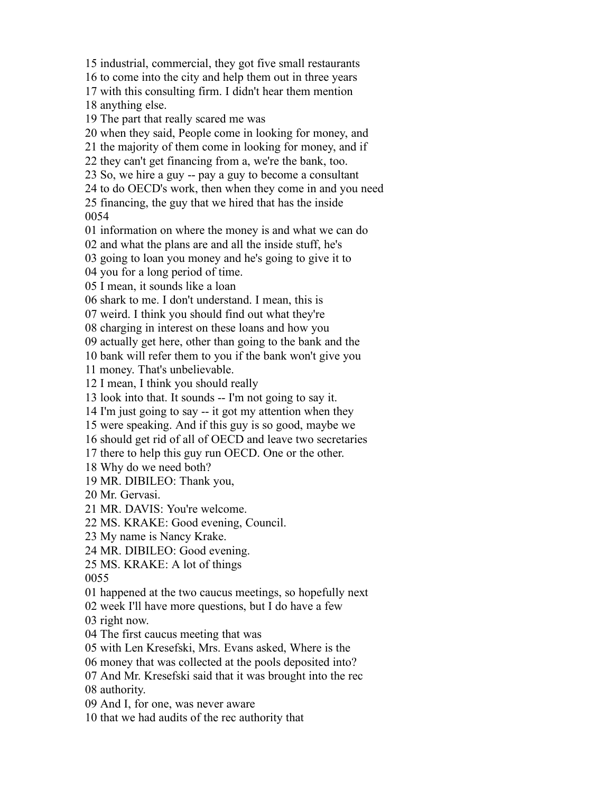to come into the city and help them out in three years with this consulting firm. I didn't hear them mention anything else. The part that really scared me was when they said, People come in looking for money, and the majority of them come in looking for money, and if they can't get financing from a, we're the bank, too. So, we hire a guy -- pay a guy to become a consultant to do OECD's work, then when they come in and you need financing, the guy that we hired that has the inside information on where the money is and what we can do and what the plans are and all the inside stuff, he's going to loan you money and he's going to give it to you for a long period of time. I mean, it sounds like a loan shark to me. I don't understand. I mean, this is weird. I think you should find out what they're charging in interest on these loans and how you actually get here, other than going to the bank and the bank will refer them to you if the bank won't give you money. That's unbelievable. I mean, I think you should really look into that. It sounds -- I'm not going to say it. I'm just going to say -- it got my attention when they were speaking. And if this guy is so good, maybe we should get rid of all of OECD and leave two secretaries there to help this guy run OECD. One or the other. Why do we need both? MR. DIBILEO: Thank you, Mr. Gervasi. MR. DAVIS: You're welcome. MS. KRAKE: Good evening, Council. My name is Nancy Krake. MR. DIBILEO: Good evening. MS. KRAKE: A lot of things happened at the two caucus meetings, so hopefully next week I'll have more questions, but I do have a few right now. The first caucus meeting that was with Len Kresefski, Mrs. Evans asked, Where is the money that was collected at the pools deposited into? And Mr. Kresefski said that it was brought into the rec authority. And I, for one, was never aware

that we had audits of the rec authority that

industrial, commercial, they got five small restaurants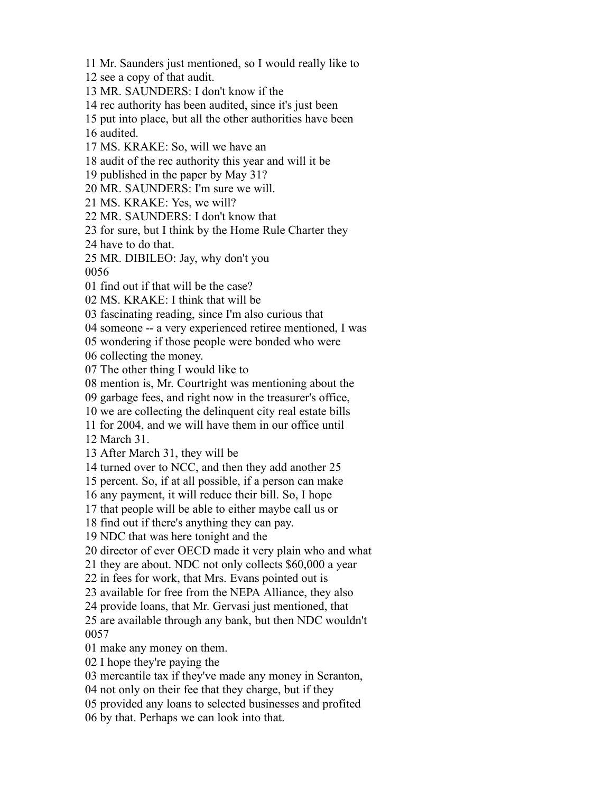Mr. Saunders just mentioned, so I would really like to

see a copy of that audit.

MR. SAUNDERS: I don't know if the

rec authority has been audited, since it's just been

put into place, but all the other authorities have been

audited.

MS. KRAKE: So, will we have an

audit of the rec authority this year and will it be

published in the paper by May 31?

MR. SAUNDERS: I'm sure we will.

MS. KRAKE: Yes, we will?

MR. SAUNDERS: I don't know that

for sure, but I think by the Home Rule Charter they

have to do that.

MR. DIBILEO: Jay, why don't you

find out if that will be the case?

MS. KRAKE: I think that will be

fascinating reading, since I'm also curious that

someone -- a very experienced retiree mentioned, I was

wondering if those people were bonded who were

collecting the money.

The other thing I would like to

mention is, Mr. Courtright was mentioning about the

garbage fees, and right now in the treasurer's office,

we are collecting the delinquent city real estate bills

for 2004, and we will have them in our office until

March 31.

After March 31, they will be

turned over to NCC, and then they add another 25

percent. So, if at all possible, if a person can make

any payment, it will reduce their bill. So, I hope

that people will be able to either maybe call us or

find out if there's anything they can pay.

NDC that was here tonight and the

director of ever OECD made it very plain who and what

they are about. NDC not only collects \$60,000 a year

in fees for work, that Mrs. Evans pointed out is

available for free from the NEPA Alliance, they also

provide loans, that Mr. Gervasi just mentioned, that

 are available through any bank, but then NDC wouldn't 

make any money on them.

I hope they're paying the

mercantile tax if they've made any money in Scranton,

not only on their fee that they charge, but if they

provided any loans to selected businesses and profited

by that. Perhaps we can look into that.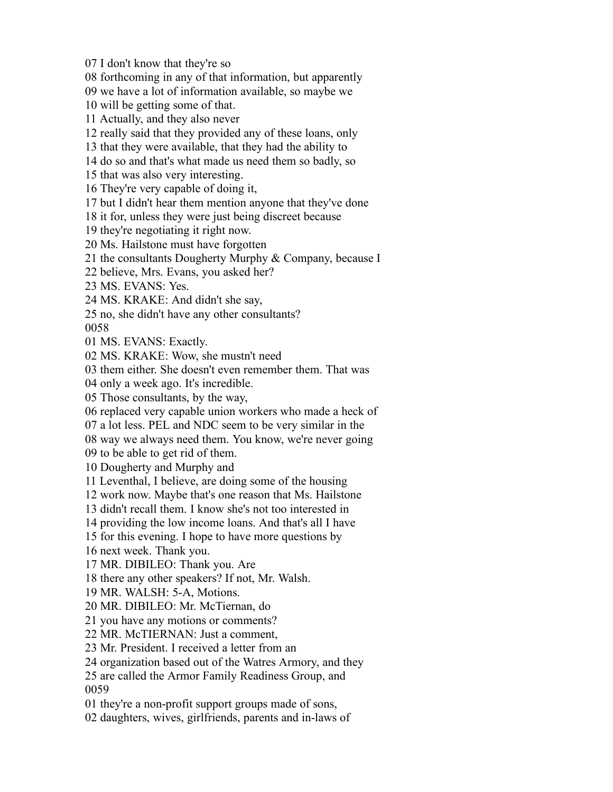I don't know that they're so

forthcoming in any of that information, but apparently

we have a lot of information available, so maybe we

will be getting some of that.

Actually, and they also never

really said that they provided any of these loans, only

that they were available, that they had the ability to

do so and that's what made us need them so badly, so

that was also very interesting.

They're very capable of doing it,

but I didn't hear them mention anyone that they've done

it for, unless they were just being discreet because

they're negotiating it right now.

Ms. Hailstone must have forgotten

the consultants Dougherty Murphy & Company, because I

believe, Mrs. Evans, you asked her?

MS. EVANS: Yes.

MS. KRAKE: And didn't she say,

no, she didn't have any other consultants?

MS. EVANS: Exactly.

MS. KRAKE: Wow, she mustn't need

them either. She doesn't even remember them. That was

only a week ago. It's incredible.

Those consultants, by the way,

replaced very capable union workers who made a heck of

a lot less. PEL and NDC seem to be very similar in the

way we always need them. You know, we're never going

to be able to get rid of them.

Dougherty and Murphy and

Leventhal, I believe, are doing some of the housing

work now. Maybe that's one reason that Ms. Hailstone

didn't recall them. I know she's not too interested in

providing the low income loans. And that's all I have

for this evening. I hope to have more questions by

next week. Thank you.

MR. DIBILEO: Thank you. Are

there any other speakers? If not, Mr. Walsh.

MR. WALSH: 5-A, Motions.

MR. DIBILEO: Mr. McTiernan, do

you have any motions or comments?

MR. McTIERNAN: Just a comment,

Mr. President. I received a letter from an

organization based out of the Watres Armory, and they

 are called the Armor Family Readiness Group, and 

they're a non-profit support groups made of sons,

daughters, wives, girlfriends, parents and in-laws of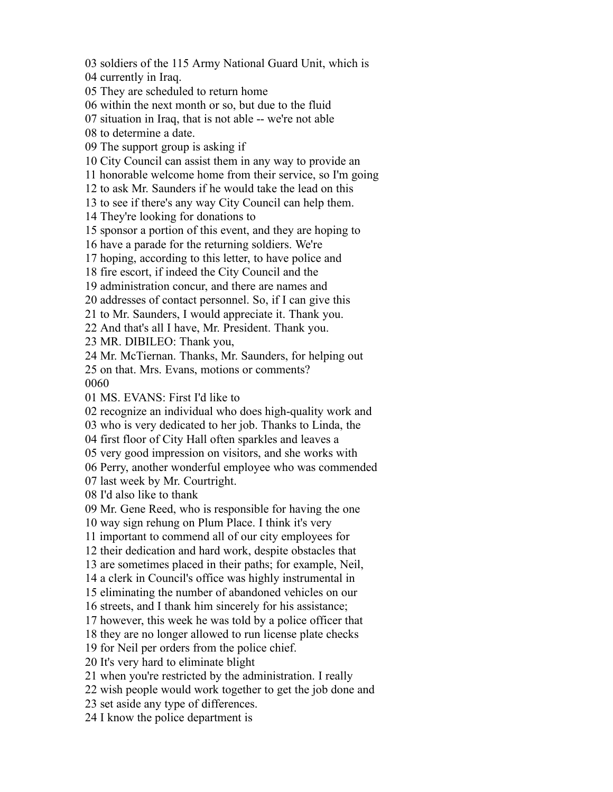soldiers of the 115 Army National Guard Unit, which is currently in Iraq. They are scheduled to return home within the next month or so, but due to the fluid situation in Iraq, that is not able -- we're not able to determine a date. The support group is asking if City Council can assist them in any way to provide an honorable welcome home from their service, so I'm going to ask Mr. Saunders if he would take the lead on this to see if there's any way City Council can help them. They're looking for donations to sponsor a portion of this event, and they are hoping to have a parade for the returning soldiers. We're hoping, according to this letter, to have police and fire escort, if indeed the City Council and the administration concur, and there are names and addresses of contact personnel. So, if I can give this to Mr. Saunders, I would appreciate it. Thank you. And that's all I have, Mr. President. Thank you. MR. DIBILEO: Thank you, Mr. McTiernan. Thanks, Mr. Saunders, for helping out on that. Mrs. Evans, motions or comments? MS. EVANS: First I'd like to recognize an individual who does high-quality work and who is very dedicated to her job. Thanks to Linda, the first floor of City Hall often sparkles and leaves a very good impression on visitors, and she works with Perry, another wonderful employee who was commended last week by Mr. Courtright. I'd also like to thank Mr. Gene Reed, who is responsible for having the one way sign rehung on Plum Place. I think it's very important to commend all of our city employees for their dedication and hard work, despite obstacles that are sometimes placed in their paths; for example, Neil, a clerk in Council's office was highly instrumental in eliminating the number of abandoned vehicles on our streets, and I thank him sincerely for his assistance; however, this week he was told by a police officer that they are no longer allowed to run license plate checks for Neil per orders from the police chief. It's very hard to eliminate blight when you're restricted by the administration. I really wish people would work together to get the job done and set aside any type of differences. I know the police department is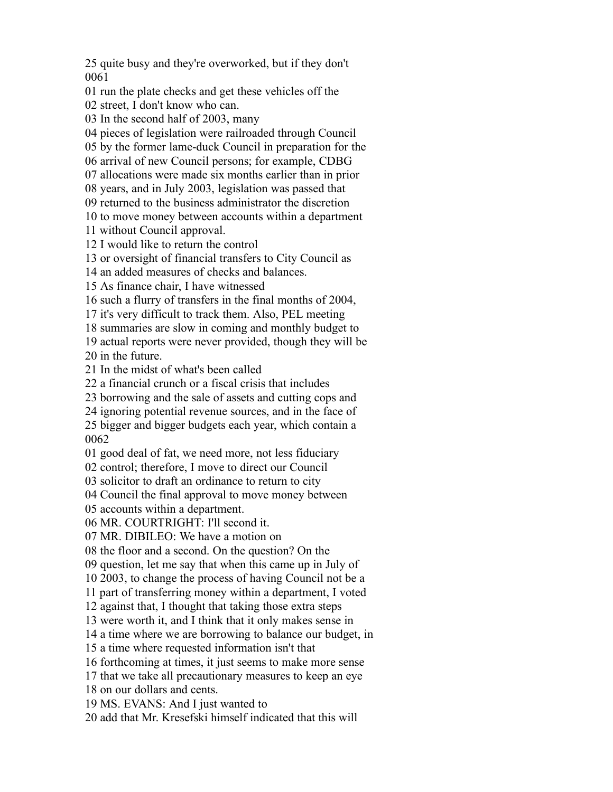quite busy and they're overworked, but if they don't 

run the plate checks and get these vehicles off the

street, I don't know who can.

In the second half of 2003, many

pieces of legislation were railroaded through Council

by the former lame-duck Council in preparation for the

arrival of new Council persons; for example, CDBG

allocations were made six months earlier than in prior

years, and in July 2003, legislation was passed that

returned to the business administrator the discretion

 to move money between accounts within a department without Council approval.

I would like to return the control

or oversight of financial transfers to City Council as

an added measures of checks and balances.

As finance chair, I have witnessed

such a flurry of transfers in the final months of 2004,

it's very difficult to track them. Also, PEL meeting

summaries are slow in coming and monthly budget to

 actual reports were never provided, though they will be in the future.

In the midst of what's been called

a financial crunch or a fiscal crisis that includes

borrowing and the sale of assets and cutting cops and

ignoring potential revenue sources, and in the face of

 bigger and bigger budgets each year, which contain a 

good deal of fat, we need more, not less fiduciary

control; therefore, I move to direct our Council

solicitor to draft an ordinance to return to city

Council the final approval to move money between

accounts within a department.

MR. COURTRIGHT: I'll second it.

MR. DIBILEO: We have a motion on

the floor and a second. On the question? On the

question, let me say that when this came up in July of

2003, to change the process of having Council not be a

part of transferring money within a department, I voted

against that, I thought that taking those extra steps

were worth it, and I think that it only makes sense in

a time where we are borrowing to balance our budget, in

a time where requested information isn't that

forthcoming at times, it just seems to make more sense

that we take all precautionary measures to keep an eye

on our dollars and cents.

MS. EVANS: And I just wanted to

add that Mr. Kresefski himself indicated that this will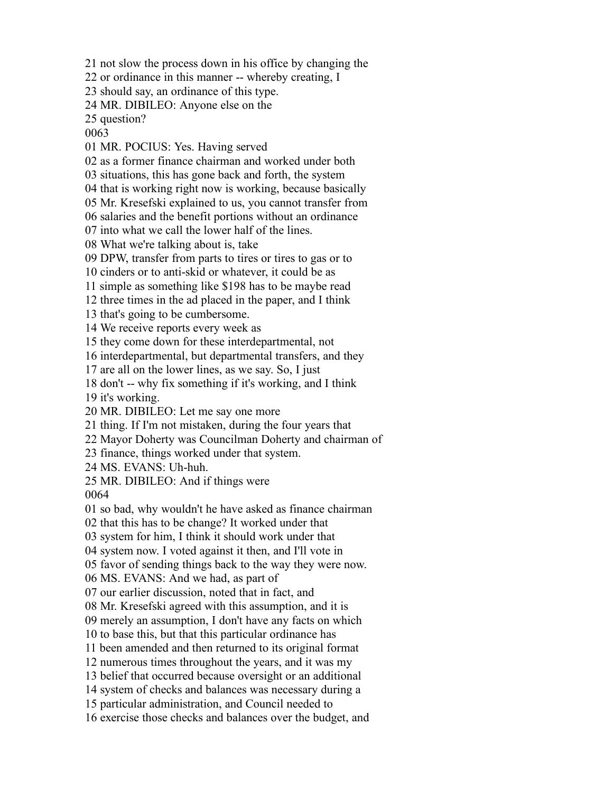not slow the process down in his office by changing the

or ordinance in this manner -- whereby creating, I

should say, an ordinance of this type.

MR. DIBILEO: Anyone else on the

question?

MR. POCIUS: Yes. Having served

as a former finance chairman and worked under both

situations, this has gone back and forth, the system

that is working right now is working, because basically

Mr. Kresefski explained to us, you cannot transfer from

salaries and the benefit portions without an ordinance

into what we call the lower half of the lines.

What we're talking about is, take

DPW, transfer from parts to tires or tires to gas or to

cinders or to anti-skid or whatever, it could be as

simple as something like \$198 has to be maybe read

three times in the ad placed in the paper, and I think

that's going to be cumbersome.

We receive reports every week as

they come down for these interdepartmental, not

interdepartmental, but departmental transfers, and they

are all on the lower lines, as we say. So, I just

don't -- why fix something if it's working, and I think

it's working.

MR. DIBILEO: Let me say one more

thing. If I'm not mistaken, during the four years that

Mayor Doherty was Councilman Doherty and chairman of

finance, things worked under that system.

MS. EVANS: Uh-huh.

MR. DIBILEO: And if things were

so bad, why wouldn't he have asked as finance chairman

that this has to be change? It worked under that

system for him, I think it should work under that

system now. I voted against it then, and I'll vote in

favor of sending things back to the way they were now.

MS. EVANS: And we had, as part of

our earlier discussion, noted that in fact, and

Mr. Kresefski agreed with this assumption, and it is

merely an assumption, I don't have any facts on which

to base this, but that this particular ordinance has

been amended and then returned to its original format

numerous times throughout the years, and it was my

belief that occurred because oversight or an additional

system of checks and balances was necessary during a

particular administration, and Council needed to

exercise those checks and balances over the budget, and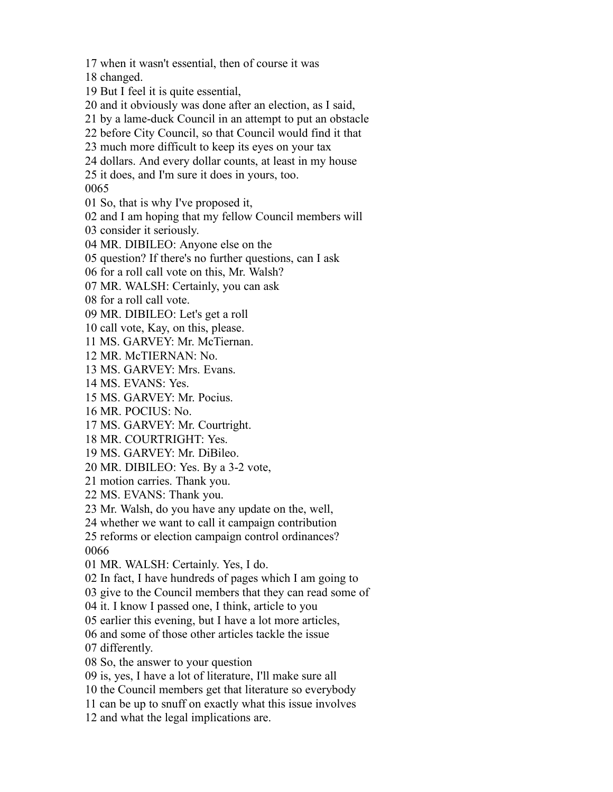when it wasn't essential, then of course it was

changed.

But I feel it is quite essential,

and it obviously was done after an election, as I said,

by a lame-duck Council in an attempt to put an obstacle

before City Council, so that Council would find it that

much more difficult to keep its eyes on your tax

dollars. And every dollar counts, at least in my house

it does, and I'm sure it does in yours, too.

So, that is why I've proposed it,

and I am hoping that my fellow Council members will

consider it seriously.

MR. DIBILEO: Anyone else on the

question? If there's no further questions, can I ask

for a roll call vote on this, Mr. Walsh?

MR. WALSH: Certainly, you can ask

for a roll call vote.

MR. DIBILEO: Let's get a roll

call vote, Kay, on this, please.

MS. GARVEY: Mr. McTiernan.

MR. McTIERNAN: No.

MS. GARVEY: Mrs. Evans.

MS. EVANS: Yes.

MS. GARVEY: Mr. Pocius.

MR. POCIUS: No.

MS. GARVEY: Mr. Courtright.

MR. COURTRIGHT: Yes.

MS. GARVEY: Mr. DiBileo.

MR. DIBILEO: Yes. By a 3-2 vote,

motion carries. Thank you.

MS. EVANS: Thank you.

Mr. Walsh, do you have any update on the, well,

whether we want to call it campaign contribution

 reforms or election campaign control ordinances? 

MR. WALSH: Certainly. Yes, I do.

In fact, I have hundreds of pages which I am going to

give to the Council members that they can read some of

it. I know I passed one, I think, article to you

earlier this evening, but I have a lot more articles,

and some of those other articles tackle the issue

differently.

So, the answer to your question

is, yes, I have a lot of literature, I'll make sure all

the Council members get that literature so everybody

can be up to snuff on exactly what this issue involves

and what the legal implications are.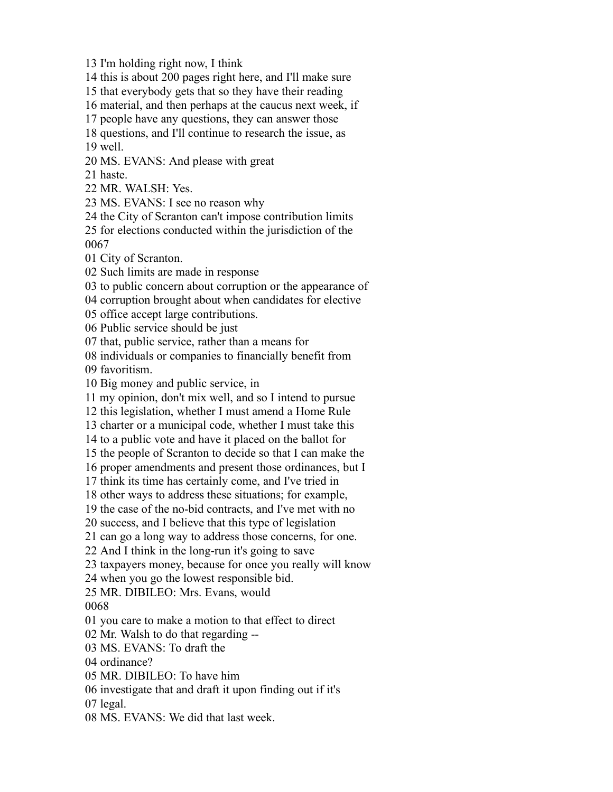I'm holding right now, I think

this is about 200 pages right here, and I'll make sure

that everybody gets that so they have their reading

material, and then perhaps at the caucus next week, if

people have any questions, they can answer those

 questions, and I'll continue to research the issue, as well.

MS. EVANS: And please with great

haste.

MR. WALSH: Yes.

MS. EVANS: I see no reason why

the City of Scranton can't impose contribution limits

 for elections conducted within the jurisdiction of the 

City of Scranton.

Such limits are made in response

to public concern about corruption or the appearance of

corruption brought about when candidates for elective

office accept large contributions.

Public service should be just

that, public service, rather than a means for

individuals or companies to financially benefit from

favoritism.

Big money and public service, in

my opinion, don't mix well, and so I intend to pursue

this legislation, whether I must amend a Home Rule

charter or a municipal code, whether I must take this

to a public vote and have it placed on the ballot for

the people of Scranton to decide so that I can make the

proper amendments and present those ordinances, but I

think its time has certainly come, and I've tried in

other ways to address these situations; for example,

the case of the no-bid contracts, and I've met with no

success, and I believe that this type of legislation

can go a long way to address those concerns, for one.

And I think in the long-run it's going to save

taxpayers money, because for once you really will know

when you go the lowest responsible bid.

MR. DIBILEO: Mrs. Evans, would

you care to make a motion to that effect to direct

Mr. Walsh to do that regarding --

MS. EVANS: To draft the

ordinance?

MR. DIBILEO: To have him

investigate that and draft it upon finding out if it's

legal.

MS. EVANS: We did that last week.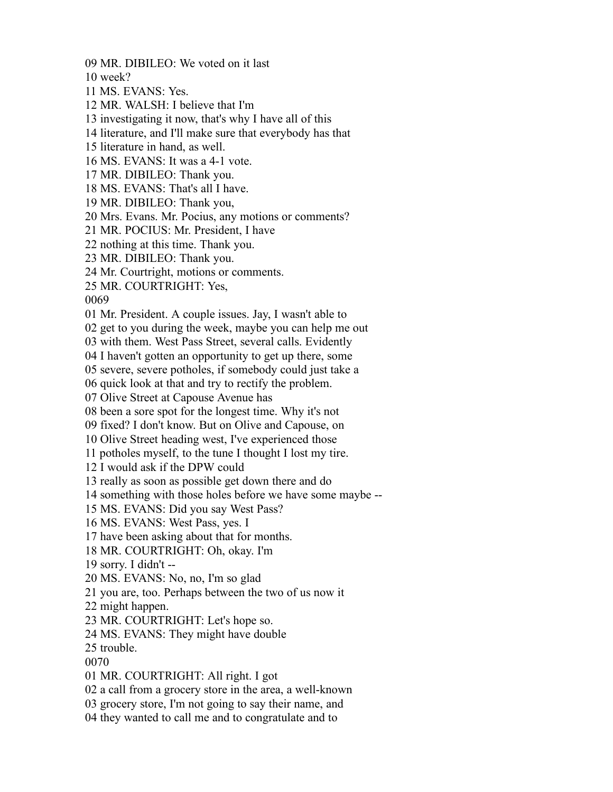MR. DIBILEO: We voted on it last

week?

MS. EVANS: Yes.

MR. WALSH: I believe that I'm

investigating it now, that's why I have all of this

literature, and I'll make sure that everybody has that

literature in hand, as well.

MS. EVANS: It was a 4-1 vote.

MR. DIBILEO: Thank you.

MS. EVANS: That's all I have.

MR. DIBILEO: Thank you,

Mrs. Evans. Mr. Pocius, any motions or comments?

MR. POCIUS: Mr. President, I have

nothing at this time. Thank you.

MR. DIBILEO: Thank you.

Mr. Courtright, motions or comments.

MR. COURTRIGHT: Yes,

Mr. President. A couple issues. Jay, I wasn't able to

get to you during the week, maybe you can help me out

with them. West Pass Street, several calls. Evidently

I haven't gotten an opportunity to get up there, some

severe, severe potholes, if somebody could just take a

quick look at that and try to rectify the problem.

Olive Street at Capouse Avenue has

been a sore spot for the longest time. Why it's not

fixed? I don't know. But on Olive and Capouse, on

Olive Street heading west, I've experienced those

potholes myself, to the tune I thought I lost my tire.

I would ask if the DPW could

really as soon as possible get down there and do

something with those holes before we have some maybe --

MS. EVANS: Did you say West Pass?

MS. EVANS: West Pass, yes. I

have been asking about that for months.

MR. COURTRIGHT: Oh, okay. I'm

sorry. I didn't --

MS. EVANS: No, no, I'm so glad

you are, too. Perhaps between the two of us now it

might happen.

MR. COURTRIGHT: Let's hope so.

MS. EVANS: They might have double

trouble.

MR. COURTRIGHT: All right. I got

a call from a grocery store in the area, a well-known

grocery store, I'm not going to say their name, and

they wanted to call me and to congratulate and to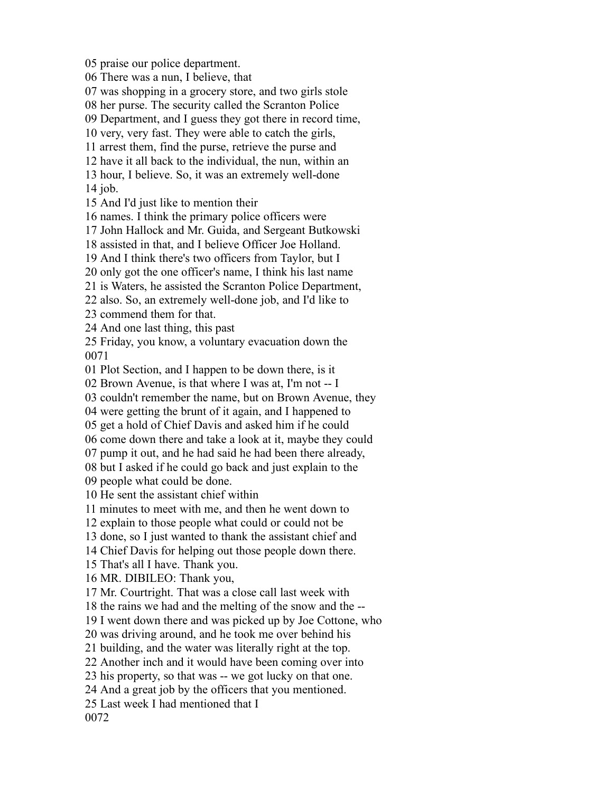praise our police department. There was a nun, I believe, that was shopping in a grocery store, and two girls stole her purse. The security called the Scranton Police Department, and I guess they got there in record time, very, very fast. They were able to catch the girls, arrest them, find the purse, retrieve the purse and have it all back to the individual, the nun, within an hour, I believe. So, it was an extremely well-done job. And I'd just like to mention their names. I think the primary police officers were John Hallock and Mr. Guida, and Sergeant Butkowski assisted in that, and I believe Officer Joe Holland. And I think there's two officers from Taylor, but I only got the one officer's name, I think his last name is Waters, he assisted the Scranton Police Department, also. So, an extremely well-done job, and I'd like to commend them for that. And one last thing, this past Friday, you know, a voluntary evacuation down the Plot Section, and I happen to be down there, is it Brown Avenue, is that where I was at, I'm not -- I couldn't remember the name, but on Brown Avenue, they were getting the brunt of it again, and I happened to get a hold of Chief Davis and asked him if he could come down there and take a look at it, maybe they could pump it out, and he had said he had been there already, but I asked if he could go back and just explain to the people what could be done. He sent the assistant chief within minutes to meet with me, and then he went down to explain to those people what could or could not be done, so I just wanted to thank the assistant chief and Chief Davis for helping out those people down there. That's all I have. Thank you. MR. DIBILEO: Thank you, Mr. Courtright. That was a close call last week with the rains we had and the melting of the snow and the -- I went down there and was picked up by Joe Cottone, who was driving around, and he took me over behind his building, and the water was literally right at the top. Another inch and it would have been coming over into his property, so that was -- we got lucky on that one. And a great job by the officers that you mentioned. Last week I had mentioned that I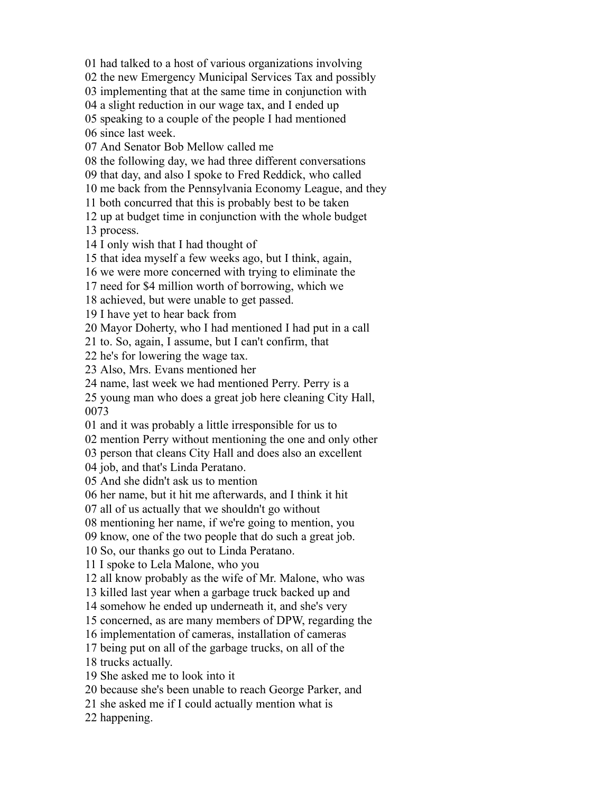had talked to a host of various organizations involving

the new Emergency Municipal Services Tax and possibly

implementing that at the same time in conjunction with

a slight reduction in our wage tax, and I ended up

speaking to a couple of the people I had mentioned

since last week.

And Senator Bob Mellow called me

the following day, we had three different conversations

that day, and also I spoke to Fred Reddick, who called

me back from the Pennsylvania Economy League, and they

both concurred that this is probably best to be taken

 up at budget time in conjunction with the whole budget process.

I only wish that I had thought of

that idea myself a few weeks ago, but I think, again,

we were more concerned with trying to eliminate the

need for \$4 million worth of borrowing, which we

achieved, but were unable to get passed.

I have yet to hear back from

Mayor Doherty, who I had mentioned I had put in a call

to. So, again, I assume, but I can't confirm, that

he's for lowering the wage tax.

Also, Mrs. Evans mentioned her

name, last week we had mentioned Perry. Perry is a

 young man who does a great job here cleaning City Hall, 

and it was probably a little irresponsible for us to

mention Perry without mentioning the one and only other

person that cleans City Hall and does also an excellent

job, and that's Linda Peratano.

And she didn't ask us to mention

her name, but it hit me afterwards, and I think it hit

all of us actually that we shouldn't go without

mentioning her name, if we're going to mention, you

know, one of the two people that do such a great job.

So, our thanks go out to Linda Peratano.

I spoke to Lela Malone, who you

all know probably as the wife of Mr. Malone, who was

killed last year when a garbage truck backed up and

somehow he ended up underneath it, and she's very

concerned, as are many members of DPW, regarding the

implementation of cameras, installation of cameras

being put on all of the garbage trucks, on all of the

trucks actually.

She asked me to look into it

because she's been unable to reach George Parker, and

she asked me if I could actually mention what is

happening.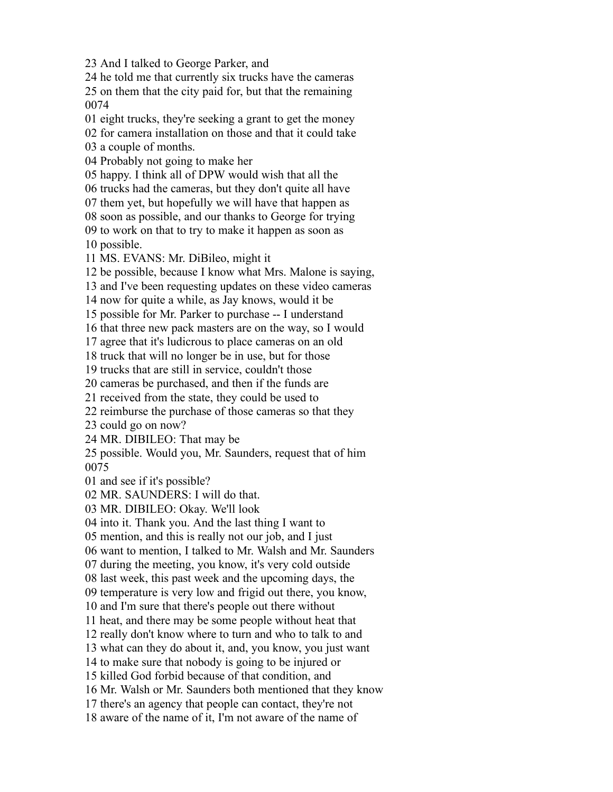And I talked to George Parker, and

 he told me that currently six trucks have the cameras on them that the city paid for, but that the remaining 

eight trucks, they're seeking a grant to get the money

for camera installation on those and that it could take

a couple of months.

Probably not going to make her

happy. I think all of DPW would wish that all the

trucks had the cameras, but they don't quite all have

them yet, but hopefully we will have that happen as

soon as possible, and our thanks to George for trying

 to work on that to try to make it happen as soon as possible.

MS. EVANS: Mr. DiBileo, might it

be possible, because I know what Mrs. Malone is saying,

and I've been requesting updates on these video cameras

now for quite a while, as Jay knows, would it be

possible for Mr. Parker to purchase -- I understand

that three new pack masters are on the way, so I would

agree that it's ludicrous to place cameras on an old

truck that will no longer be in use, but for those

trucks that are still in service, couldn't those

cameras be purchased, and then if the funds are

received from the state, they could be used to

reimburse the purchase of those cameras so that they

could go on now?

MR. DIBILEO: That may be

 possible. Would you, Mr. Saunders, request that of him 

and see if it's possible?

MR. SAUNDERS: I will do that.

MR. DIBILEO: Okay. We'll look

into it. Thank you. And the last thing I want to

mention, and this is really not our job, and I just

want to mention, I talked to Mr. Walsh and Mr. Saunders

during the meeting, you know, it's very cold outside

last week, this past week and the upcoming days, the

temperature is very low and frigid out there, you know,

and I'm sure that there's people out there without

heat, and there may be some people without heat that

really don't know where to turn and who to talk to and

what can they do about it, and, you know, you just want

to make sure that nobody is going to be injured or

killed God forbid because of that condition, and

Mr. Walsh or Mr. Saunders both mentioned that they know

there's an agency that people can contact, they're not

aware of the name of it, I'm not aware of the name of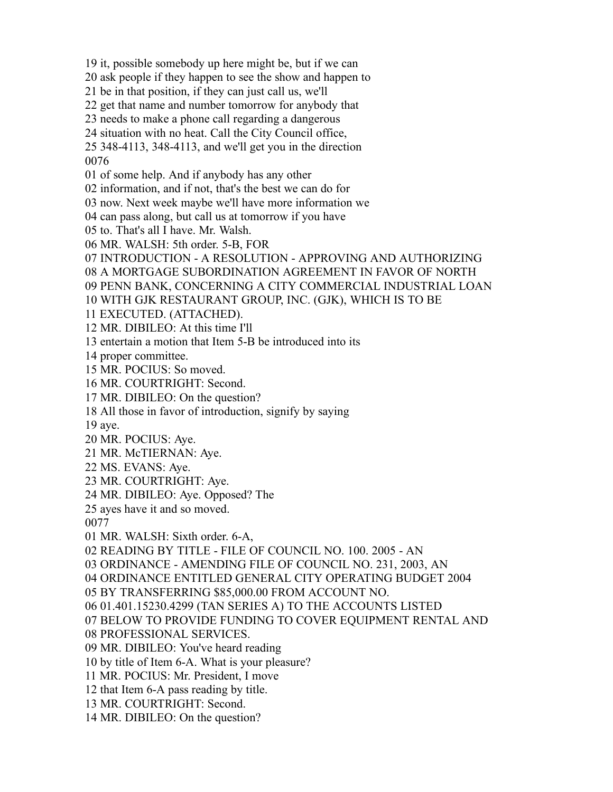it, possible somebody up here might be, but if we can

ask people if they happen to see the show and happen to

be in that position, if they can just call us, we'll

get that name and number tomorrow for anybody that

needs to make a phone call regarding a dangerous

situation with no heat. Call the City Council office,

 348-4113, 348-4113, and we'll get you in the direction 

of some help. And if anybody has any other

information, and if not, that's the best we can do for

now. Next week maybe we'll have more information we

can pass along, but call us at tomorrow if you have

to. That's all I have. Mr. Walsh.

MR. WALSH: 5th order. 5-B, FOR

INTRODUCTION - A RESOLUTION - APPROVING AND AUTHORIZING

A MORTGAGE SUBORDINATION AGREEMENT IN FAVOR OF NORTH

PENN BANK, CONCERNING A CITY COMMERCIAL INDUSTRIAL LOAN

WITH GJK RESTAURANT GROUP, INC. (GJK), WHICH IS TO BE

EXECUTED. (ATTACHED).

MR. DIBILEO: At this time I'll

entertain a motion that Item 5-B be introduced into its

proper committee.

MR. POCIUS: So moved.

MR. COURTRIGHT: Second.

MR. DIBILEO: On the question?

All those in favor of introduction, signify by saying

aye.

MR. POCIUS: Aye.

MR. McTIERNAN: Aye.

MS. EVANS: Aye.

MR. COURTRIGHT: Aye.

MR. DIBILEO: Aye. Opposed? The

ayes have it and so moved.

MR. WALSH: Sixth order. 6-A,

READING BY TITLE - FILE OF COUNCIL NO. 100. 2005 - AN

ORDINANCE - AMENDING FILE OF COUNCIL NO. 231, 2003, AN

ORDINANCE ENTITLED GENERAL CITY OPERATING BUDGET 2004

BY TRANSFERRING \$85,000.00 FROM ACCOUNT NO.

01.401.15230.4299 (TAN SERIES A) TO THE ACCOUNTS LISTED

BELOW TO PROVIDE FUNDING TO COVER EQUIPMENT RENTAL AND

PROFESSIONAL SERVICES.

MR. DIBILEO: You've heard reading

by title of Item 6-A. What is your pleasure?

MR. POCIUS: Mr. President, I move

that Item 6-A pass reading by title.

MR. COURTRIGHT: Second.

MR. DIBILEO: On the question?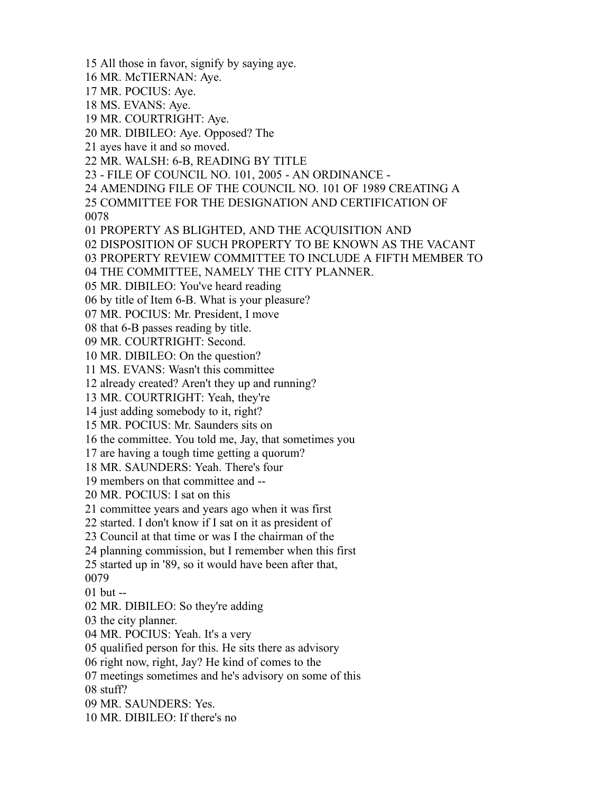All those in favor, signify by saying aye.

MR. McTIERNAN: Aye.

MR. POCIUS: Aye.

MS. EVANS: Aye.

MR. COURTRIGHT: Aye.

MR. DIBILEO: Aye. Opposed? The

ayes have it and so moved.

MR. WALSH: 6-B, READING BY TITLE

- FILE OF COUNCIL NO. 101, 2005 - AN ORDINANCE -

AMENDING FILE OF THE COUNCIL NO. 101 OF 1989 CREATING A

 COMMITTEE FOR THE DESIGNATION AND CERTIFICATION OF 

PROPERTY AS BLIGHTED, AND THE ACQUISITION AND

DISPOSITION OF SUCH PROPERTY TO BE KNOWN AS THE VACANT

PROPERTY REVIEW COMMITTEE TO INCLUDE A FIFTH MEMBER TO

THE COMMITTEE, NAMELY THE CITY PLANNER.

MR. DIBILEO: You've heard reading

by title of Item 6-B. What is your pleasure?

MR. POCIUS: Mr. President, I move

that 6-B passes reading by title.

MR. COURTRIGHT: Second.

MR. DIBILEO: On the question?

MS. EVANS: Wasn't this committee

already created? Aren't they up and running?

MR. COURTRIGHT: Yeah, they're

just adding somebody to it, right?

MR. POCIUS: Mr. Saunders sits on

the committee. You told me, Jay, that sometimes you

are having a tough time getting a quorum?

MR. SAUNDERS: Yeah. There's four

members on that committee and --

MR. POCIUS: I sat on this

committee years and years ago when it was first

started. I don't know if I sat on it as president of

Council at that time or was I the chairman of the

planning commission, but I remember when this first

started up in '89, so it would have been after that,

but --

MR. DIBILEO: So they're adding

the city planner.

MR. POCIUS: Yeah. It's a very

qualified person for this. He sits there as advisory

right now, right, Jay? He kind of comes to the

meetings sometimes and he's advisory on some of this

stuff?

MR. SAUNDERS: Yes.

MR. DIBILEO: If there's no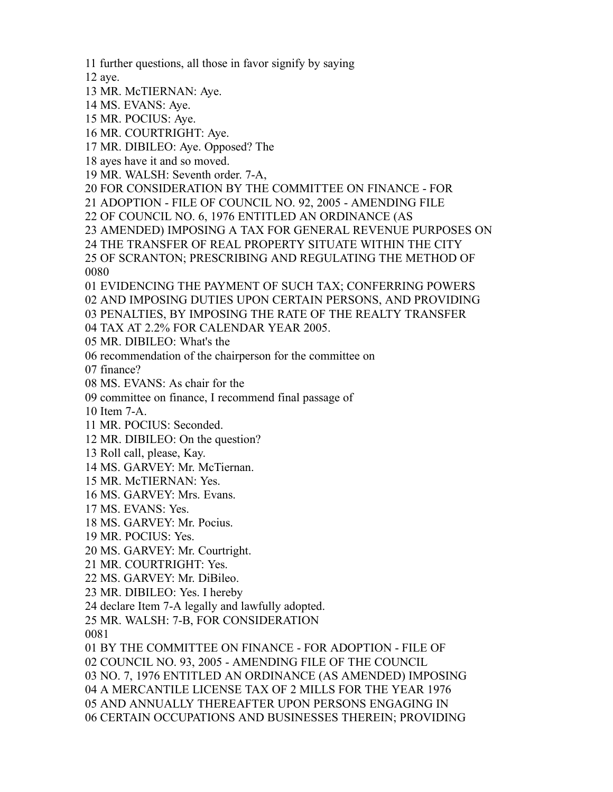further questions, all those in favor signify by saying

aye.

MR. McTIERNAN: Aye.

MS. EVANS: Aye.

MR. POCIUS: Aye.

MR. COURTRIGHT: Aye.

MR. DIBILEO: Aye. Opposed? The

ayes have it and so moved.

MR. WALSH: Seventh order. 7-A,

FOR CONSIDERATION BY THE COMMITTEE ON FINANCE - FOR

ADOPTION - FILE OF COUNCIL NO. 92, 2005 - AMENDING FILE

OF COUNCIL NO. 6, 1976 ENTITLED AN ORDINANCE (AS

AMENDED) IMPOSING A TAX FOR GENERAL REVENUE PURPOSES ON

THE TRANSFER OF REAL PROPERTY SITUATE WITHIN THE CITY

 OF SCRANTON; PRESCRIBING AND REGULATING THE METHOD OF 

 EVIDENCING THE PAYMENT OF SUCH TAX; CONFERRING POWERS AND IMPOSING DUTIES UPON CERTAIN PERSONS, AND PROVIDING PENALTIES, BY IMPOSING THE RATE OF THE REALTY TRANSFER

TAX AT 2.2% FOR CALENDAR YEAR 2005.

MR. DIBILEO: What's the

recommendation of the chairperson for the committee on

finance?

MS. EVANS: As chair for the

committee on finance, I recommend final passage of

Item 7-A.

MR. POCIUS: Seconded.

MR. DIBILEO: On the question?

Roll call, please, Kay.

MS. GARVEY: Mr. McTiernan.

MR. McTIERNAN: Yes.

MS. GARVEY: Mrs. Evans.

MS. EVANS: Yes.

MS. GARVEY: Mr. Pocius.

MR. POCIUS: Yes.

MS. GARVEY: Mr. Courtright.

MR. COURTRIGHT: Yes.

MS. GARVEY: Mr. DiBileo.

MR. DIBILEO: Yes. I hereby

declare Item 7-A legally and lawfully adopted.

MR. WALSH: 7-B, FOR CONSIDERATION

 BY THE COMMITTEE ON FINANCE - FOR ADOPTION - FILE OF COUNCIL NO. 93, 2005 - AMENDING FILE OF THE COUNCIL NO. 7, 1976 ENTITLED AN ORDINANCE (AS AMENDED) IMPOSING A MERCANTILE LICENSE TAX OF 2 MILLS FOR THE YEAR 1976 AND ANNUALLY THEREAFTER UPON PERSONS ENGAGING IN CERTAIN OCCUPATIONS AND BUSINESSES THEREIN; PROVIDING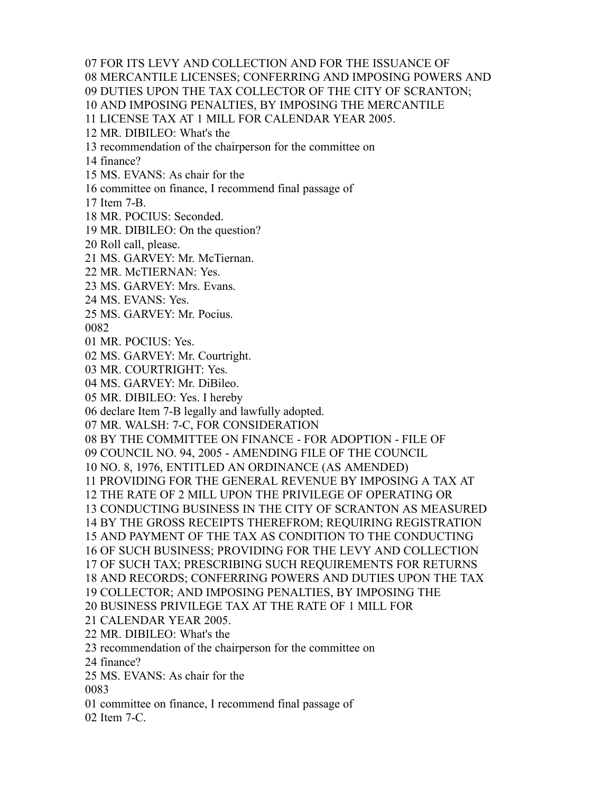FOR ITS LEVY AND COLLECTION AND FOR THE ISSUANCE OF

MERCANTILE LICENSES; CONFERRING AND IMPOSING POWERS AND

DUTIES UPON THE TAX COLLECTOR OF THE CITY OF SCRANTON;

AND IMPOSING PENALTIES, BY IMPOSING THE MERCANTILE

LICENSE TAX AT 1 MILL FOR CALENDAR YEAR 2005.

MR. DIBILEO: What's the

recommendation of the chairperson for the committee on

finance?

MS. EVANS: As chair for the

committee on finance, I recommend final passage of

Item 7-B.

MR. POCIUS: Seconded.

MR. DIBILEO: On the question?

Roll call, please.

MS. GARVEY: Mr. McTiernan.

MR. McTIERNAN: Yes.

MS. GARVEY: Mrs. Evans.

MS. EVANS: Yes.

MS. GARVEY: Mr. Pocius.

MR. POCIUS: Yes.

MS. GARVEY: Mr. Courtright.

MR. COURTRIGHT: Yes.

MS. GARVEY: Mr. DiBileo.

MR. DIBILEO: Yes. I hereby

declare Item 7-B legally and lawfully adopted.

MR. WALSH: 7-C, FOR CONSIDERATION

BY THE COMMITTEE ON FINANCE - FOR ADOPTION - FILE OF

COUNCIL NO. 94, 2005 - AMENDING FILE OF THE COUNCIL

NO. 8, 1976, ENTITLED AN ORDINANCE (AS AMENDED)

PROVIDING FOR THE GENERAL REVENUE BY IMPOSING A TAX AT

THE RATE OF 2 MILL UPON THE PRIVILEGE OF OPERATING OR

CONDUCTING BUSINESS IN THE CITY OF SCRANTON AS MEASURED

BY THE GROSS RECEIPTS THEREFROM; REQUIRING REGISTRATION

AND PAYMENT OF THE TAX AS CONDITION TO THE CONDUCTING

OF SUCH BUSINESS; PROVIDING FOR THE LEVY AND COLLECTION

OF SUCH TAX; PRESCRIBING SUCH REQUIREMENTS FOR RETURNS

AND RECORDS; CONFERRING POWERS AND DUTIES UPON THE TAX

COLLECTOR; AND IMPOSING PENALTIES, BY IMPOSING THE

BUSINESS PRIVILEGE TAX AT THE RATE OF 1 MILL FOR

CALENDAR YEAR 2005.

MR. DIBILEO: What's the

recommendation of the chairperson for the committee on

finance?

MS. EVANS: As chair for the

committee on finance, I recommend final passage of

Item 7-C.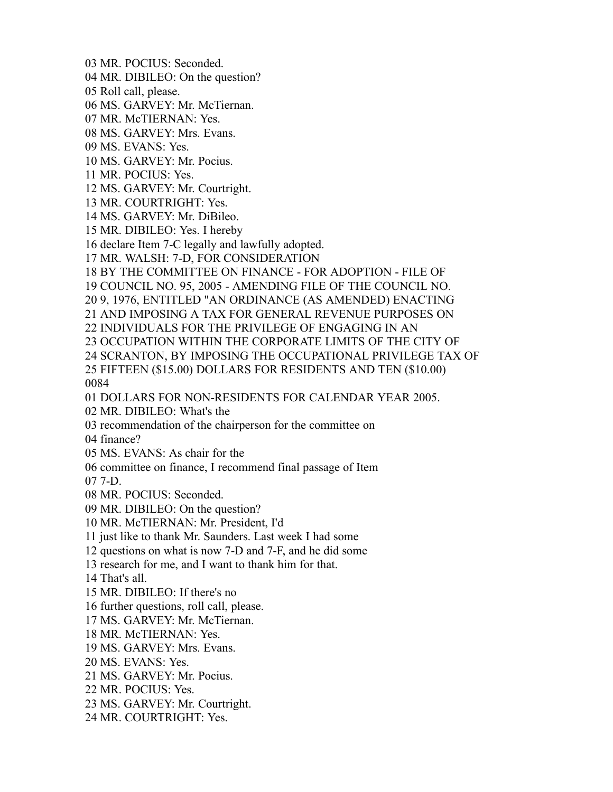MR. POCIUS: Seconded.

MR. DIBILEO: On the question?

Roll call, please.

MS. GARVEY: Mr. McTiernan.

MR. McTIERNAN: Yes.

MS. GARVEY: Mrs. Evans.

MS. EVANS: Yes.

MS. GARVEY: Mr. Pocius.

MR. POCIUS: Yes.

MS. GARVEY: Mr. Courtright.

MR. COURTRIGHT: Yes.

MS. GARVEY: Mr. DiBileo.

MR. DIBILEO: Yes. I hereby

declare Item 7-C legally and lawfully adopted.

MR. WALSH: 7-D, FOR CONSIDERATION

BY THE COMMITTEE ON FINANCE - FOR ADOPTION - FILE OF

COUNCIL NO. 95, 2005 - AMENDING FILE OF THE COUNCIL NO.

9, 1976, ENTITLED "AN ORDINANCE (AS AMENDED) ENACTING

AND IMPOSING A TAX FOR GENERAL REVENUE PURPOSES ON

INDIVIDUALS FOR THE PRIVILEGE OF ENGAGING IN AN

OCCUPATION WITHIN THE CORPORATE LIMITS OF THE CITY OF

SCRANTON, BY IMPOSING THE OCCUPATIONAL PRIVILEGE TAX OF

 FIFTEEN (\$15.00) DOLLARS FOR RESIDENTS AND TEN (\$10.00) 

DOLLARS FOR NON-RESIDENTS FOR CALENDAR YEAR 2005.

MR. DIBILEO: What's the

recommendation of the chairperson for the committee on

finance?

MS. EVANS: As chair for the

committee on finance, I recommend final passage of Item

7-D.

MR. POCIUS: Seconded.

MR. DIBILEO: On the question?

MR. McTIERNAN: Mr. President, I'd

just like to thank Mr. Saunders. Last week I had some

questions on what is now 7-D and 7-F, and he did some

research for me, and I want to thank him for that.

That's all.

MR. DIBILEO: If there's no

further questions, roll call, please.

MS. GARVEY: Mr. McTiernan.

MR. McTIERNAN: Yes.

MS. GARVEY: Mrs. Evans.

MS. EVANS: Yes.

MS. GARVEY: Mr. Pocius.

MR. POCIUS: Yes.

MS. GARVEY: Mr. Courtright.

MR. COURTRIGHT: Yes.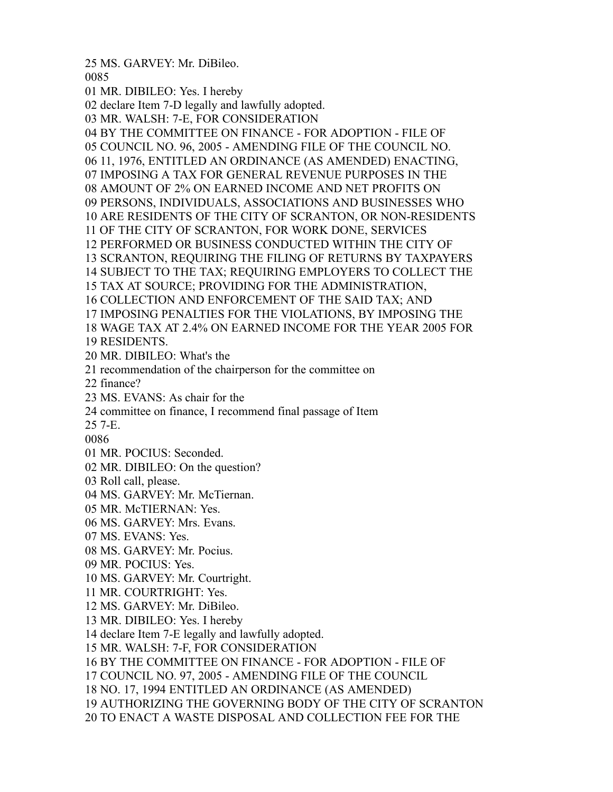MS. GARVEY: Mr. DiBileo. 

 MR. DIBILEO: Yes. I hereby declare Item 7-D legally and lawfully adopted. MR. WALSH: 7-E, FOR CONSIDERATION BY THE COMMITTEE ON FINANCE - FOR ADOPTION - FILE OF COUNCIL NO. 96, 2005 - AMENDING FILE OF THE COUNCIL NO. 11, 1976, ENTITLED AN ORDINANCE (AS AMENDED) ENACTING, IMPOSING A TAX FOR GENERAL REVENUE PURPOSES IN THE AMOUNT OF 2% ON EARNED INCOME AND NET PROFITS ON PERSONS, INDIVIDUALS, ASSOCIATIONS AND BUSINESSES WHO ARE RESIDENTS OF THE CITY OF SCRANTON, OR NON-RESIDENTS OF THE CITY OF SCRANTON, FOR WORK DONE, SERVICES PERFORMED OR BUSINESS CONDUCTED WITHIN THE CITY OF SCRANTON, REQUIRING THE FILING OF RETURNS BY TAXPAYERS SUBJECT TO THE TAX; REQUIRING EMPLOYERS TO COLLECT THE TAX AT SOURCE; PROVIDING FOR THE ADMINISTRATION, COLLECTION AND ENFORCEMENT OF THE SAID TAX; AND IMPOSING PENALTIES FOR THE VIOLATIONS, BY IMPOSING THE WAGE TAX AT 2.4% ON EARNED INCOME FOR THE YEAR 2005 FOR RESIDENTS. MR. DIBILEO: What's the recommendation of the chairperson for the committee on finance? MS. EVANS: As chair for the committee on finance, I recommend final passage of Item 7-E. MR. POCIUS: Seconded. MR. DIBILEO: On the question? Roll call, please. MS. GARVEY: Mr. McTiernan. MR. McTIERNAN: Yes. MS. GARVEY: Mrs. Evans. MS. EVANS: Yes. MS. GARVEY: Mr. Pocius. MR. POCIUS: Yes. MS. GARVEY: Mr. Courtright. MR. COURTRIGHT: Yes. MS. GARVEY: Mr. DiBileo. MR. DIBILEO: Yes. I hereby declare Item 7-E legally and lawfully adopted. MR. WALSH: 7-F, FOR CONSIDERATION BY THE COMMITTEE ON FINANCE - FOR ADOPTION - FILE OF COUNCIL NO. 97, 2005 - AMENDING FILE OF THE COUNCIL NO. 17, 1994 ENTITLED AN ORDINANCE (AS AMENDED) AUTHORIZING THE GOVERNING BODY OF THE CITY OF SCRANTON TO ENACT A WASTE DISPOSAL AND COLLECTION FEE FOR THE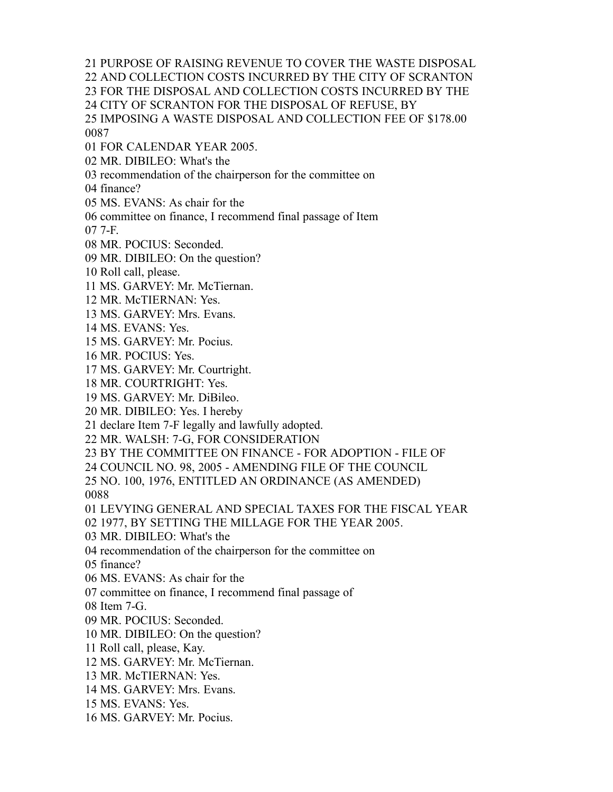PURPOSE OF RAISING REVENUE TO COVER THE WASTE DISPOSAL

AND COLLECTION COSTS INCURRED BY THE CITY OF SCRANTON

FOR THE DISPOSAL AND COLLECTION COSTS INCURRED BY THE

CITY OF SCRANTON FOR THE DISPOSAL OF REFUSE, BY

 IMPOSING A WASTE DISPOSAL AND COLLECTION FEE OF \$178.00 

FOR CALENDAR YEAR 2005.

MR. DIBILEO: What's the

recommendation of the chairperson for the committee on

finance?

MS. EVANS: As chair for the

committee on finance, I recommend final passage of Item

7-F.

MR. POCIUS: Seconded.

MR. DIBILEO: On the question?

Roll call, please.

MS. GARVEY: Mr. McTiernan.

MR. McTIERNAN: Yes.

MS. GARVEY: Mrs. Evans.

MS. EVANS: Yes.

MS. GARVEY: Mr. Pocius.

MR. POCIUS: Yes.

MS. GARVEY: Mr. Courtright.

MR. COURTRIGHT: Yes.

MS. GARVEY: Mr. DiBileo.

MR. DIBILEO: Yes. I hereby

declare Item 7-F legally and lawfully adopted.

MR. WALSH: 7-G, FOR CONSIDERATION

BY THE COMMITTEE ON FINANCE - FOR ADOPTION - FILE OF

COUNCIL NO. 98, 2005 - AMENDING FILE OF THE COUNCIL

NO. 100, 1976, ENTITLED AN ORDINANCE (AS AMENDED)

LEVYING GENERAL AND SPECIAL TAXES FOR THE FISCAL YEAR

1977, BY SETTING THE MILLAGE FOR THE YEAR 2005.

MR. DIBILEO: What's the

recommendation of the chairperson for the committee on

finance?

MS. EVANS: As chair for the

committee on finance, I recommend final passage of

Item 7-G.

MR. POCIUS: Seconded.

MR. DIBILEO: On the question?

Roll call, please, Kay.

MS. GARVEY: Mr. McTiernan.

MR. McTIERNAN: Yes.

MS. GARVEY: Mrs. Evans.

MS. EVANS: Yes.

MS. GARVEY: Mr. Pocius.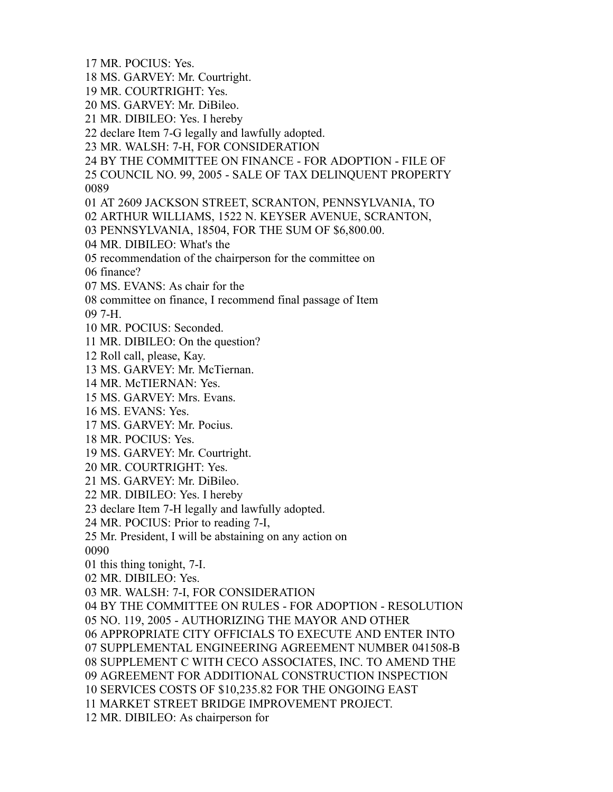MR. POCIUS: Yes.

- MS. GARVEY: Mr. Courtright.
- MR. COURTRIGHT: Yes.
- MS. GARVEY: Mr. DiBileo.
- MR. DIBILEO: Yes. I hereby
- declare Item 7-G legally and lawfully adopted.
- MR. WALSH: 7-H, FOR CONSIDERATION
- BY THE COMMITTEE ON FINANCE FOR ADOPTION FILE OF
- COUNCIL NO. 99, 2005 SALE OF TAX DELINQUENT PROPERTY
- AT 2609 JACKSON STREET, SCRANTON, PENNSYLVANIA, TO
- ARTHUR WILLIAMS, 1522 N. KEYSER AVENUE, SCRANTON,
- PENNSYLVANIA, 18504, FOR THE SUM OF \$6,800.00.
- MR. DIBILEO: What's the
- recommendation of the chairperson for the committee on
- finance?
- MS. EVANS: As chair for the
- committee on finance, I recommend final passage of Item

7-H.

- MR. POCIUS: Seconded.
- MR. DIBILEO: On the question?
- Roll call, please, Kay.
- MS. GARVEY: Mr. McTiernan.
- MR. McTIERNAN: Yes.
- MS. GARVEY: Mrs. Evans.
- MS. EVANS: Yes.
- MS. GARVEY: Mr. Pocius.
- MR. POCIUS: Yes.
- MS. GARVEY: Mr. Courtright.
- MR. COURTRIGHT: Yes.
- MS. GARVEY: Mr. DiBileo.
- MR. DIBILEO: Yes. I hereby
- declare Item 7-H legally and lawfully adopted.
- MR. POCIUS: Prior to reading 7-I,
- Mr. President, I will be abstaining on any action on
- this thing tonight, 7-I.
- MR. DIBILEO: Yes.
- MR. WALSH: 7-I, FOR CONSIDERATION
- BY THE COMMITTEE ON RULES FOR ADOPTION RESOLUTION
- NO. 119, 2005 AUTHORIZING THE MAYOR AND OTHER
- APPROPRIATE CITY OFFICIALS TO EXECUTE AND ENTER INTO
- SUPPLEMENTAL ENGINEERING AGREEMENT NUMBER 041508-B
- SUPPLEMENT C WITH CECO ASSOCIATES, INC. TO AMEND THE
- AGREEMENT FOR ADDITIONAL CONSTRUCTION INSPECTION
- SERVICES COSTS OF \$10,235.82 FOR THE ONGOING EAST
- MARKET STREET BRIDGE IMPROVEMENT PROJECT.
- MR. DIBILEO: As chairperson for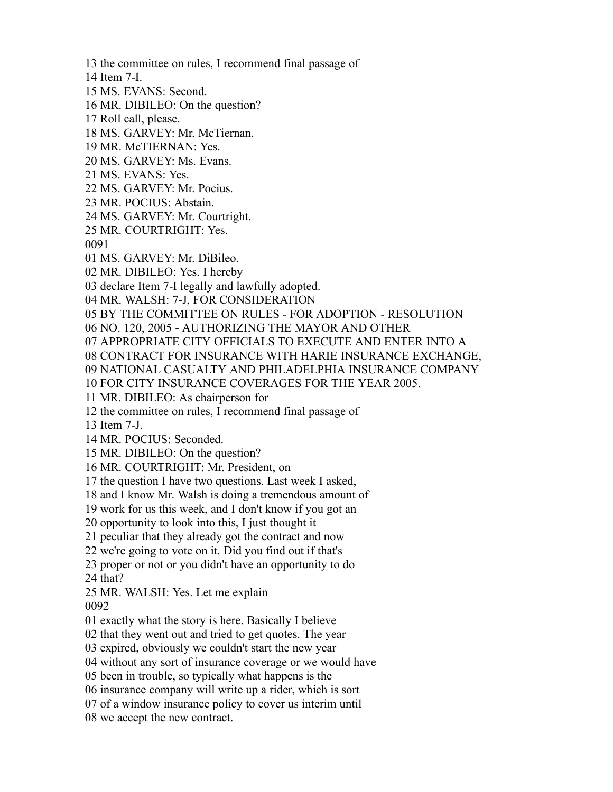the committee on rules, I recommend final passage of

- Item 7-I.
- MS. EVANS: Second.
- MR. DIBILEO: On the question?
- Roll call, please.
- MS. GARVEY: Mr. McTiernan.
- MR. McTIERNAN: Yes.
- MS. GARVEY: Ms. Evans.
- MS. EVANS: Yes.
- MS. GARVEY: Mr. Pocius.
- MR. POCIUS: Abstain.
- MS. GARVEY: Mr. Courtright.
- MR. COURTRIGHT: Yes.
- 
- MS. GARVEY: Mr. DiBileo.
- MR. DIBILEO: Yes. I hereby
- declare Item 7-I legally and lawfully adopted.
- MR. WALSH: 7-J, FOR CONSIDERATION
- BY THE COMMITTEE ON RULES FOR ADOPTION RESOLUTION
- NO. 120, 2005 AUTHORIZING THE MAYOR AND OTHER
- APPROPRIATE CITY OFFICIALS TO EXECUTE AND ENTER INTO A
- CONTRACT FOR INSURANCE WITH HARIE INSURANCE EXCHANGE,
- NATIONAL CASUALTY AND PHILADELPHIA INSURANCE COMPANY
- FOR CITY INSURANCE COVERAGES FOR THE YEAR 2005.
- MR. DIBILEO: As chairperson for
- the committee on rules, I recommend final passage of
- Item 7-J.
- MR. POCIUS: Seconded.
- MR. DIBILEO: On the question?
- MR. COURTRIGHT: Mr. President, on
- the question I have two questions. Last week I asked,
- and I know Mr. Walsh is doing a tremendous amount of
- work for us this week, and I don't know if you got an
- opportunity to look into this, I just thought it
- peculiar that they already got the contract and now
- we're going to vote on it. Did you find out if that's
- proper or not or you didn't have an opportunity to do that?
- MR. WALSH: Yes. Let me explain
- 
- exactly what the story is here. Basically I believe
- that they went out and tried to get quotes. The year
- expired, obviously we couldn't start the new year
- without any sort of insurance coverage or we would have
- been in trouble, so typically what happens is the
- insurance company will write up a rider, which is sort
- of a window insurance policy to cover us interim until
- we accept the new contract.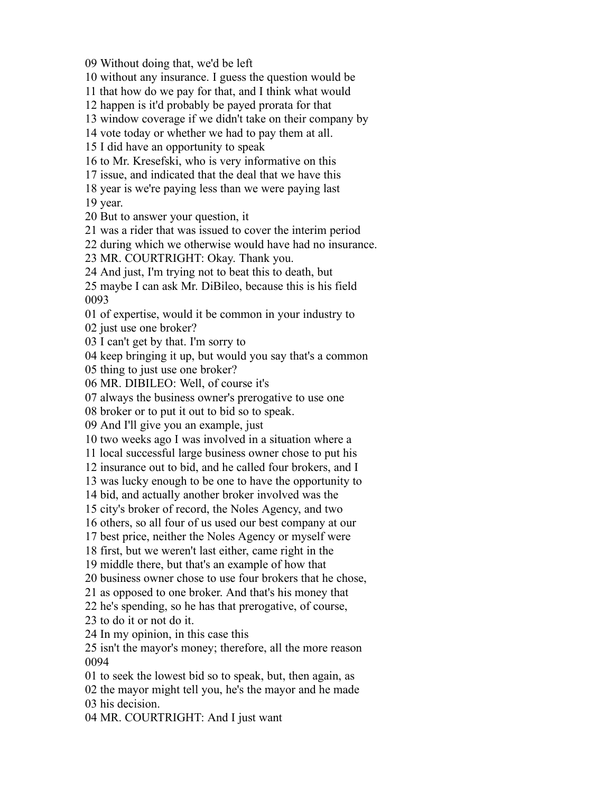Without doing that, we'd be left

without any insurance. I guess the question would be

that how do we pay for that, and I think what would

happen is it'd probably be payed prorata for that

window coverage if we didn't take on their company by

vote today or whether we had to pay them at all.

I did have an opportunity to speak

to Mr. Kresefski, who is very informative on this

issue, and indicated that the deal that we have this

year is we're paying less than we were paying last

year.

But to answer your question, it

was a rider that was issued to cover the interim period

during which we otherwise would have had no insurance.

MR. COURTRIGHT: Okay. Thank you.

And just, I'm trying not to beat this to death, but

 maybe I can ask Mr. DiBileo, because this is his field 

of expertise, would it be common in your industry to

just use one broker?

I can't get by that. I'm sorry to

keep bringing it up, but would you say that's a common

thing to just use one broker?

MR. DIBILEO: Well, of course it's

always the business owner's prerogative to use one

broker or to put it out to bid so to speak.

And I'll give you an example, just

two weeks ago I was involved in a situation where a

local successful large business owner chose to put his

insurance out to bid, and he called four brokers, and I

was lucky enough to be one to have the opportunity to

bid, and actually another broker involved was the

city's broker of record, the Noles Agency, and two

others, so all four of us used our best company at our

best price, neither the Noles Agency or myself were

first, but we weren't last either, came right in the

middle there, but that's an example of how that

business owner chose to use four brokers that he chose,

as opposed to one broker. And that's his money that

he's spending, so he has that prerogative, of course,

to do it or not do it.

In my opinion, in this case this

 isn't the mayor's money; therefore, all the more reason 

- to seek the lowest bid so to speak, but, then again, as
- the mayor might tell you, he's the mayor and he made

his decision.

MR. COURTRIGHT: And I just want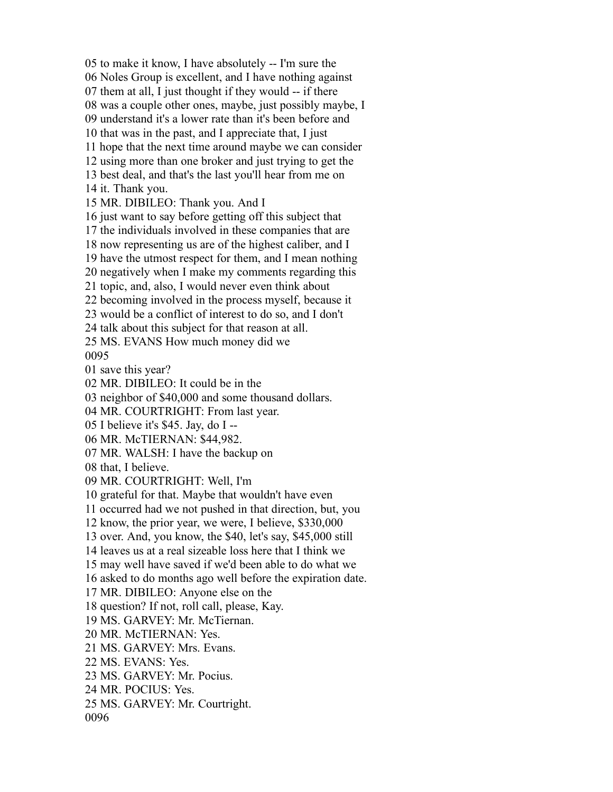to make it know, I have absolutely -- I'm sure the Noles Group is excellent, and I have nothing against them at all, I just thought if they would -- if there was a couple other ones, maybe, just possibly maybe, I understand it's a lower rate than it's been before and that was in the past, and I appreciate that, I just hope that the next time around maybe we can consider using more than one broker and just trying to get the best deal, and that's the last you'll hear from me on it. Thank you. MR. DIBILEO: Thank you. And I just want to say before getting off this subject that the individuals involved in these companies that are now representing us are of the highest caliber, and I have the utmost respect for them, and I mean nothing negatively when I make my comments regarding this topic, and, also, I would never even think about becoming involved in the process myself, because it would be a conflict of interest to do so, and I don't talk about this subject for that reason at all. MS. EVANS How much money did we save this year? MR. DIBILEO: It could be in the neighbor of \$40,000 and some thousand dollars. MR. COURTRIGHT: From last year. I believe it's \$45. Jay, do I -- MR. McTIERNAN: \$44,982. MR. WALSH: I have the backup on that, I believe. MR. COURTRIGHT: Well, I'm grateful for that. Maybe that wouldn't have even occurred had we not pushed in that direction, but, you know, the prior year, we were, I believe, \$330,000 over. And, you know, the \$40, let's say, \$45,000 still leaves us at a real sizeable loss here that I think we may well have saved if we'd been able to do what we asked to do months ago well before the expiration date. MR. DIBILEO: Anyone else on the question? If not, roll call, please, Kay. MS. GARVEY: Mr. McTiernan. MR. McTIERNAN: Yes. MS. GARVEY: Mrs. Evans. MS. EVANS: Yes. MS. GARVEY: Mr. Pocius. MR. POCIUS: Yes. MS. GARVEY: Mr. Courtright.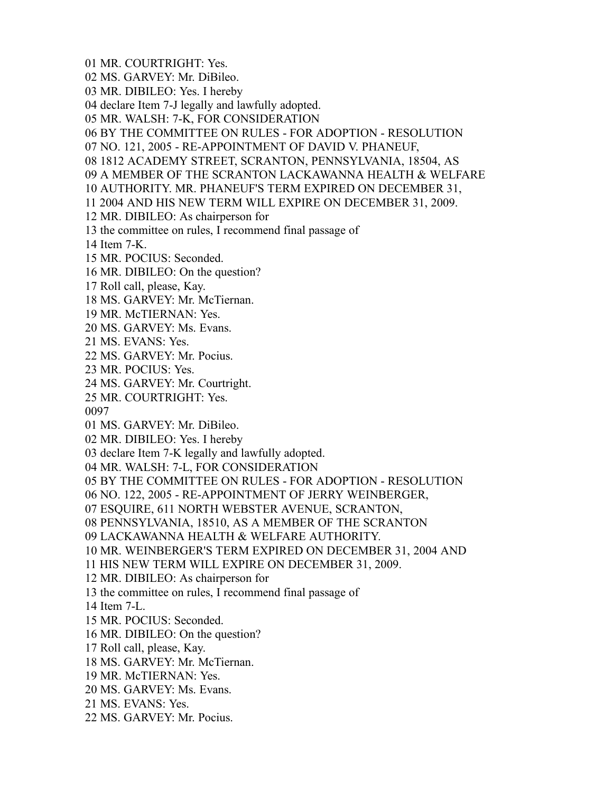- MR. COURTRIGHT: Yes.
- MS. GARVEY: Mr. DiBileo.
- MR. DIBILEO: Yes. I hereby
- declare Item 7-J legally and lawfully adopted.
- MR. WALSH: 7-K, FOR CONSIDERATION
- BY THE COMMITTEE ON RULES FOR ADOPTION RESOLUTION
- NO. 121, 2005 RE-APPOINTMENT OF DAVID V. PHANEUF,
- 1812 ACADEMY STREET, SCRANTON, PENNSYLVANIA, 18504, AS
- A MEMBER OF THE SCRANTON LACKAWANNA HEALTH & WELFARE
- AUTHORITY. MR. PHANEUF'S TERM EXPIRED ON DECEMBER 31,
- 2004 AND HIS NEW TERM WILL EXPIRE ON DECEMBER 31, 2009.
- MR. DIBILEO: As chairperson for
- the committee on rules, I recommend final passage of
- Item 7-K.
- MR. POCIUS: Seconded.
- MR. DIBILEO: On the question?
- Roll call, please, Kay.
- MS. GARVEY: Mr. McTiernan.
- MR. McTIERNAN: Yes.
- MS. GARVEY: Ms. Evans.
- MS. EVANS: Yes.
- MS. GARVEY: Mr. Pocius.
- MR. POCIUS: Yes.
- MS. GARVEY: Mr. Courtright.
- MR. COURTRIGHT: Yes.
- 
- MS. GARVEY: Mr. DiBileo.
- MR. DIBILEO: Yes. I hereby
- declare Item 7-K legally and lawfully adopted.
- MR. WALSH: 7-L, FOR CONSIDERATION
- BY THE COMMITTEE ON RULES FOR ADOPTION RESOLUTION
- NO. 122, 2005 RE-APPOINTMENT OF JERRY WEINBERGER,
- ESQUIRE, 611 NORTH WEBSTER AVENUE, SCRANTON,
- PENNSYLVANIA, 18510, AS A MEMBER OF THE SCRANTON
- LACKAWANNA HEALTH & WELFARE AUTHORITY.
- MR. WEINBERGER'S TERM EXPIRED ON DECEMBER 31, 2004 AND
- HIS NEW TERM WILL EXPIRE ON DECEMBER 31, 2009.
- MR. DIBILEO: As chairperson for
- the committee on rules, I recommend final passage of
- Item 7-L.
- MR. POCIUS: Seconded.
- MR. DIBILEO: On the question?
- Roll call, please, Kay.
- MS. GARVEY: Mr. McTiernan.
- MR. McTIERNAN: Yes.
- MS. GARVEY: Ms. Evans.
- MS. EVANS: Yes.
- MS. GARVEY: Mr. Pocius.